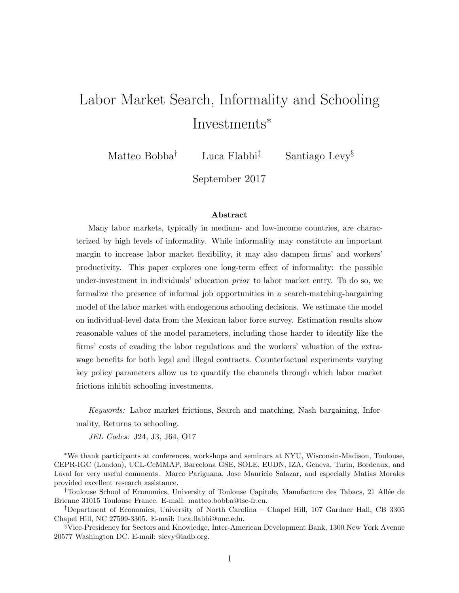# Labor Market Search, Informality and Schooling Investments<sup>∗</sup>

Matteo Bobba<sup>†</sup> Luca Flabbi<sup>‡</sup> Santiago Levy<sup>§</sup>

September 2017

#### Abstract

Many labor markets, typically in medium- and low-income countries, are characterized by high levels of informality. While informality may constitute an important margin to increase labor market flexibility, it may also dampen firms' and workers' productivity. This paper explores one long-term effect of informality: the possible under-investment in individuals' education prior to labor market entry. To do so, we formalize the presence of informal job opportunities in a search-matching-bargaining model of the labor market with endogenous schooling decisions. We estimate the model on individual-level data from the Mexican labor force survey. Estimation results show reasonable values of the model parameters, including those harder to identify like the firms' costs of evading the labor regulations and the workers' valuation of the extrawage benefits for both legal and illegal contracts. Counterfactual experiments varying key policy parameters allow us to quantify the channels through which labor market frictions inhibit schooling investments.

Keywords: Labor market frictions, Search and matching, Nash bargaining, Informality, Returns to schooling.

JEL Codes: J24, J3, J64, O17

<sup>∗</sup>We thank participants at conferences, workshops and seminars at NYU, Wisconsin-Madison, Toulouse, CEPR-IGC (London), UCL-CeMMAP, Barcelona GSE, SOLE, EUDN, IZA, Geneva, Turin, Bordeaux, and Laval for very useful comments. Marco Pariguana, Jose Mauricio Salazar, and especially Matias Morales provided excellent research assistance.

<sup>†</sup>Toulouse School of Economics, University of Toulouse Capitole, Manufacture des Tabacs, 21 All´ee de Brienne 31015 Toulouse France. E-mail: matteo.bobba@tse-fr.eu.

<sup>‡</sup>Department of Economics, University of North Carolina – Chapel Hill, 107 Gardner Hall, CB 3305 Chapel Hill, NC 27599-3305. E-mail: luca.flabbi@unc.edu.

<sup>§</sup>Vice-Presidency for Sectors and Knowledge, Inter-American Development Bank, 1300 New York Avenue 20577 Washington DC. E-mail: slevy@iadb.org.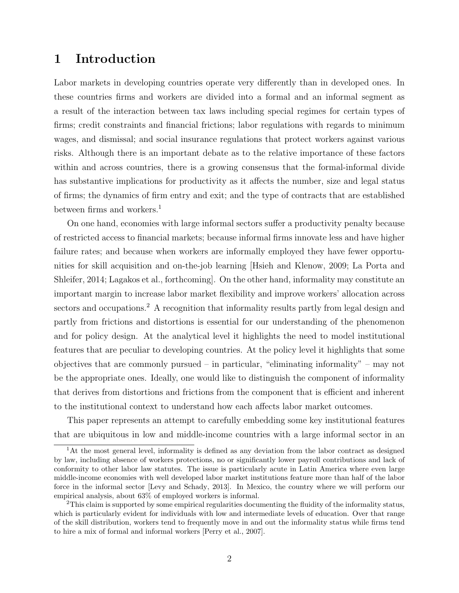# 1 Introduction

Labor markets in developing countries operate very differently than in developed ones. In these countries firms and workers are divided into a formal and an informal segment as a result of the interaction between tax laws including special regimes for certain types of firms; credit constraints and financial frictions; labor regulations with regards to minimum wages, and dismissal; and social insurance regulations that protect workers against various risks. Although there is an important debate as to the relative importance of these factors within and across countries, there is a growing consensus that the formal-informal divide has substantive implications for productivity as it affects the number, size and legal status of firms; the dynamics of firm entry and exit; and the type of contracts that are established between firms and workers.<sup>1</sup>

On one hand, economies with large informal sectors suffer a productivity penalty because of restricted access to financial markets; because informal firms innovate less and have higher failure rates; and because when workers are informally employed they have fewer opportunities for skill acquisition and on-the-job learning [Hsieh and Klenow, 2009; La Porta and Shleifer, 2014; Lagakos et al., forthcoming]. On the other hand, informality may constitute an important margin to increase labor market flexibility and improve workers' allocation across sectors and occupations.<sup>2</sup> A recognition that informality results partly from legal design and partly from frictions and distortions is essential for our understanding of the phenomenon and for policy design. At the analytical level it highlights the need to model institutional features that are peculiar to developing countries. At the policy level it highlights that some objectives that are commonly pursued – in particular, "eliminating informality" – may not be the appropriate ones. Ideally, one would like to distinguish the component of informality that derives from distortions and frictions from the component that is efficient and inherent to the institutional context to understand how each affects labor market outcomes.

This paper represents an attempt to carefully embedding some key institutional features that are ubiquitous in low and middle-income countries with a large informal sector in an

<sup>&</sup>lt;sup>1</sup>At the most general level, informality is defined as any deviation from the labor contract as designed by law, including absence of workers protections, no or significantly lower payroll contributions and lack of conformity to other labor law statutes. The issue is particularly acute in Latin America where even large middle-income economies with well developed labor market institutions feature more than half of the labor force in the informal sector [Levy and Schady, 2013]. In Mexico, the country where we will perform our empirical analysis, about 63% of employed workers is informal.

<sup>2</sup>This claim is supported by some empirical regularities documenting the fluidity of the informality status, which is particularly evident for individuals with low and intermediate levels of education. Over that range of the skill distribution, workers tend to frequently move in and out the informality status while firms tend to hire a mix of formal and informal workers [Perry et al., 2007].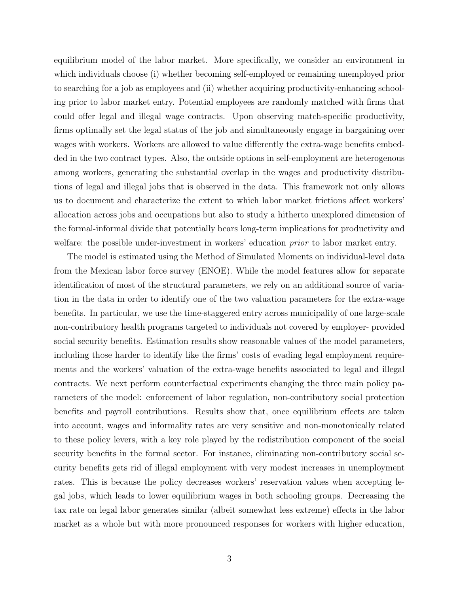equilibrium model of the labor market. More specifically, we consider an environment in which individuals choose (i) whether becoming self-employed or remaining unemployed prior to searching for a job as employees and (ii) whether acquiring productivity-enhancing schooling prior to labor market entry. Potential employees are randomly matched with firms that could offer legal and illegal wage contracts. Upon observing match-specific productivity, firms optimally set the legal status of the job and simultaneously engage in bargaining over wages with workers. Workers are allowed to value differently the extra-wage benefits embedded in the two contract types. Also, the outside options in self-employment are heterogenous among workers, generating the substantial overlap in the wages and productivity distributions of legal and illegal jobs that is observed in the data. This framework not only allows us to document and characterize the extent to which labor market frictions affect workers' allocation across jobs and occupations but also to study a hitherto unexplored dimension of the formal-informal divide that potentially bears long-term implications for productivity and welfare: the possible under-investment in workers' education *prior* to labor market entry.

The model is estimated using the Method of Simulated Moments on individual-level data from the Mexican labor force survey (ENOE). While the model features allow for separate identification of most of the structural parameters, we rely on an additional source of variation in the data in order to identify one of the two valuation parameters for the extra-wage benefits. In particular, we use the time-staggered entry across municipality of one large-scale non-contributory health programs targeted to individuals not covered by employer- provided social security benefits. Estimation results show reasonable values of the model parameters, including those harder to identify like the firms' costs of evading legal employment requirements and the workers' valuation of the extra-wage benefits associated to legal and illegal contracts. We next perform counterfactual experiments changing the three main policy parameters of the model: enforcement of labor regulation, non-contributory social protection benefits and payroll contributions. Results show that, once equilibrium effects are taken into account, wages and informality rates are very sensitive and non-monotonically related to these policy levers, with a key role played by the redistribution component of the social security benefits in the formal sector. For instance, eliminating non-contributory social security benefits gets rid of illegal employment with very modest increases in unemployment rates. This is because the policy decreases workers' reservation values when accepting legal jobs, which leads to lower equilibrium wages in both schooling groups. Decreasing the tax rate on legal labor generates similar (albeit somewhat less extreme) effects in the labor market as a whole but with more pronounced responses for workers with higher education,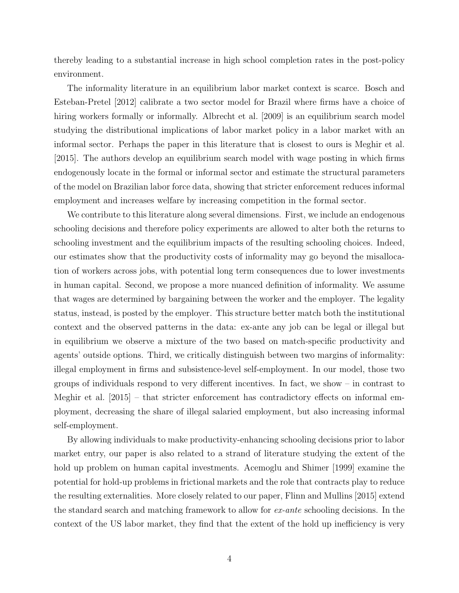thereby leading to a substantial increase in high school completion rates in the post-policy environment.

The informality literature in an equilibrium labor market context is scarce. Bosch and Esteban-Pretel [2012] calibrate a two sector model for Brazil where firms have a choice of hiring workers formally or informally. Albrecht et al. [2009] is an equilibrium search model studying the distributional implications of labor market policy in a labor market with an informal sector. Perhaps the paper in this literature that is closest to ours is Meghir et al. [2015]. The authors develop an equilibrium search model with wage posting in which firms endogenously locate in the formal or informal sector and estimate the structural parameters of the model on Brazilian labor force data, showing that stricter enforcement reduces informal employment and increases welfare by increasing competition in the formal sector.

We contribute to this literature along several dimensions. First, we include an endogenous schooling decisions and therefore policy experiments are allowed to alter both the returns to schooling investment and the equilibrium impacts of the resulting schooling choices. Indeed, our estimates show that the productivity costs of informality may go beyond the misallocation of workers across jobs, with potential long term consequences due to lower investments in human capital. Second, we propose a more nuanced definition of informality. We assume that wages are determined by bargaining between the worker and the employer. The legality status, instead, is posted by the employer. This structure better match both the institutional context and the observed patterns in the data: ex-ante any job can be legal or illegal but in equilibrium we observe a mixture of the two based on match-specific productivity and agents' outside options. Third, we critically distinguish between two margins of informality: illegal employment in firms and subsistence-level self-employment. In our model, those two groups of individuals respond to very different incentives. In fact, we show – in contrast to Meghir et al. [2015] – that stricter enforcement has contradictory effects on informal employment, decreasing the share of illegal salaried employment, but also increasing informal self-employment.

By allowing individuals to make productivity-enhancing schooling decisions prior to labor market entry, our paper is also related to a strand of literature studying the extent of the hold up problem on human capital investments. Acemoglu and Shimer [1999] examine the potential for hold-up problems in frictional markets and the role that contracts play to reduce the resulting externalities. More closely related to our paper, Flinn and Mullins [2015] extend the standard search and matching framework to allow for ex-ante schooling decisions. In the context of the US labor market, they find that the extent of the hold up inefficiency is very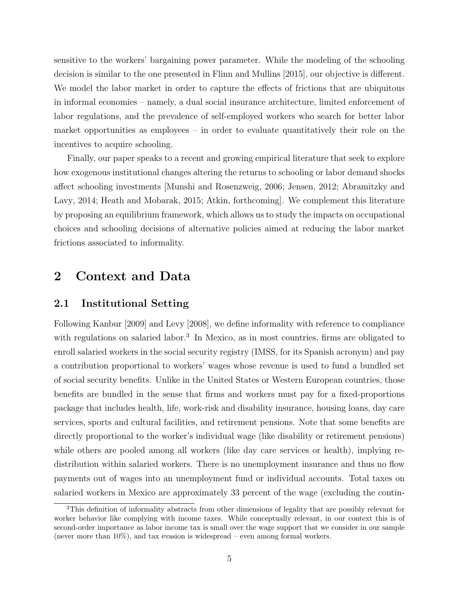sensitive to the workers' bargaining power parameter. While the modeling of the schooling decision is similar to the one presented in Flinn and Mullins [2015], our objective is different. We model the labor market in order to capture the effects of frictions that are ubiquitous in informal economies – namely, a dual social insurance architecture, limited enforcement of labor regulations, and the prevalence of self-employed workers who search for better labor market opportunities as employees – in order to evaluate quantitatively their role on the incentives to acquire schooling.

Finally, our paper speaks to a recent and growing empirical literature that seek to explore how exogenous institutional changes altering the returns to schooling or labor demand shocks affect schooling investments [Munshi and Rosenzweig, 2006; Jensen, 2012; Abramitzky and Lavy, 2014; Heath and Mobarak, 2015; Atkin, forthcoming]. We complement this literature by proposing an equilibrium framework, which allows us to study the impacts on occupational choices and schooling decisions of alternative policies aimed at reducing the labor market frictions associated to informality.

# 2 Context and Data

### 2.1 Institutional Setting

Following Kanbur [2009] and Levy [2008], we define informality with reference to compliance with regulations on salaried labor.<sup>3</sup> In Mexico, as in most countries, firms are obligated to enroll salaried workers in the social security registry (IMSS, for its Spanish acronym) and pay a contribution proportional to workers' wages whose revenue is used to fund a bundled set of social security benefits. Unlike in the United States or Western European countries, those benefits are bundled in the sense that firms and workers must pay for a fixed-proportions package that includes health, life, work-risk and disability insurance, housing loans, day care services, sports and cultural facilities, and retirement pensions. Note that some benefits are directly proportional to the worker's individual wage (like disability or retirement pensions) while others are pooled among all workers (like day care services or health), implying redistribution within salaried workers. There is no unemployment insurance and thus no flow payments out of wages into an unemployment fund or individual accounts. Total taxes on salaried workers in Mexico are approximately 33 percent of the wage (excluding the contin-

<sup>3</sup>This definition of informality abstracts from other dimensions of legality that are possibly relevant for worker behavior like complying with income taxes. While conceptually relevant, in our context this is of second-order importance as labor income tax is small over the wage support that we consider in our sample (never more than  $10\%$ ), and tax evasion is widespread – even among formal workers.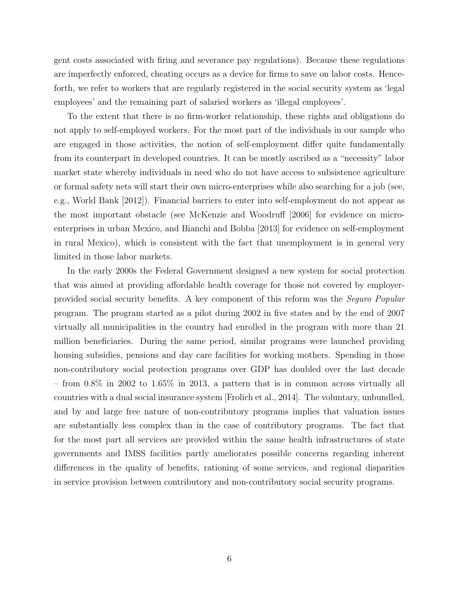gent costs associated with firing and severance pay regulations). Because these regulations are imperfectly enforced, cheating occurs as a device for firms to save on labor costs. Henceforth, we refer to workers that are regularly registered in the social security system as 'legal employees' and the remaining part of salaried workers as 'illegal employees'.

To the extent that there is no firm-worker relationship, these rights and obligations do not apply to self-employed workers. For the most part of the individuals in our sample who are engaged in those activities, the notion of self-employment differ quite fundamentally from its counterpart in developed countries. It can be mostly ascribed as a "necessity" labor market state whereby individuals in need who do not have access to subsistence agriculture or formal safety nets will start their own micro-enterprises while also searching for a job (see, e.g., World Bank [2012]). Financial barriers to enter into self-employment do not appear as the most important obstacle (see McKenzie and Woodruff [2006] for evidence on microenterprises in urban Mexico, and Bianchi and Bobba [2013] for evidence on self-employment in rural Mexico), which is consistent with the fact that unemployment is in general very limited in those labor markets.

In the early 2000s the Federal Government designed a new system for social protection that was aimed at providing affordable health coverage for those not covered by employerprovided social security benefits. A key component of this reform was the Seguro Popular program. The program started as a pilot during 2002 in five states and by the end of 2007 virtually all municipalities in the country had enrolled in the program with more than 21 million beneficiaries. During the same period, similar programs were launched providing housing subsidies, pensions and day care facilities for working mothers. Spending in those non-contributory social protection programs over GDP has doubled over the last decade – from 0.8% in 2002 to 1.65% in 2013, a pattern that is in common across virtually all countries with a dual social insurance system [Frolich et al., 2014]. The voluntary, unbundled, and by and large free nature of non-contributory programs implies that valuation issues are substantially less complex than in the case of contributory programs. The fact that for the most part all services are provided within the same health infrastructures of state governments and IMSS facilities partly ameliorates possible concerns regarding inherent differences in the quality of benefits, rationing of some services, and regional disparities in service provision between contributory and non-contributory social security programs.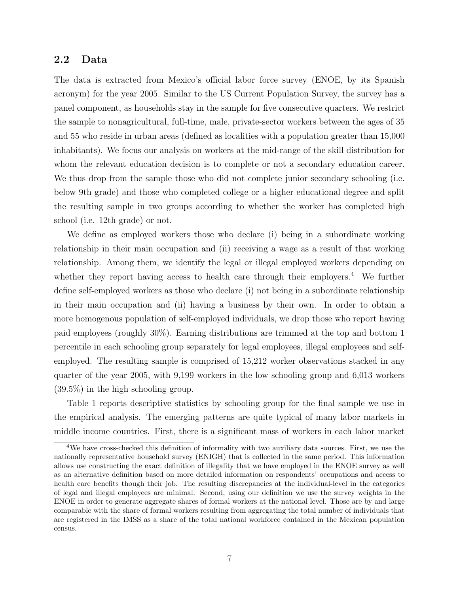# 2.2 Data

The data is extracted from Mexico's official labor force survey (ENOE, by its Spanish acronym) for the year 2005. Similar to the US Current Population Survey, the survey has a panel component, as households stay in the sample for five consecutive quarters. We restrict the sample to nonagricultural, full-time, male, private-sector workers between the ages of 35 and 55 who reside in urban areas (defined as localities with a population greater than 15,000 inhabitants). We focus our analysis on workers at the mid-range of the skill distribution for whom the relevant education decision is to complete or not a secondary education career. We thus drop from the sample those who did not complete junior secondary schooling (i.e. below 9th grade) and those who completed college or a higher educational degree and split the resulting sample in two groups according to whether the worker has completed high school (i.e. 12th grade) or not.

We define as employed workers those who declare (i) being in a subordinate working relationship in their main occupation and (ii) receiving a wage as a result of that working relationship. Among them, we identify the legal or illegal employed workers depending on whether they report having access to health care through their employers.<sup>4</sup> We further define self-employed workers as those who declare (i) not being in a subordinate relationship in their main occupation and (ii) having a business by their own. In order to obtain a more homogenous population of self-employed individuals, we drop those who report having paid employees (roughly 30%). Earning distributions are trimmed at the top and bottom 1 percentile in each schooling group separately for legal employees, illegal employees and selfemployed. The resulting sample is comprised of 15,212 worker observations stacked in any quarter of the year 2005, with 9,199 workers in the low schooling group and 6,013 workers (39.5%) in the high schooling group.

Table 1 reports descriptive statistics by schooling group for the final sample we use in the empirical analysis. The emerging patterns are quite typical of many labor markets in middle income countries. First, there is a significant mass of workers in each labor market

<sup>4</sup>We have cross-checked this definition of informality with two auxiliary data sources. First, we use the nationally representative household survey (ENIGH) that is collected in the same period. This information allows use constructing the exact definition of illegality that we have employed in the ENOE survey as well as an alternative definition based on more detailed information on respondents' occupations and access to health care benefits though their job. The resulting discrepancies at the individual-level in the categories of legal and illegal employees are minimal. Second, using our definition we use the survey weights in the ENOE in order to generate aggregate shares of formal workers at the national level. Those are by and large comparable with the share of formal workers resulting from aggregating the total number of individuals that are registered in the IMSS as a share of the total national workforce contained in the Mexican population census.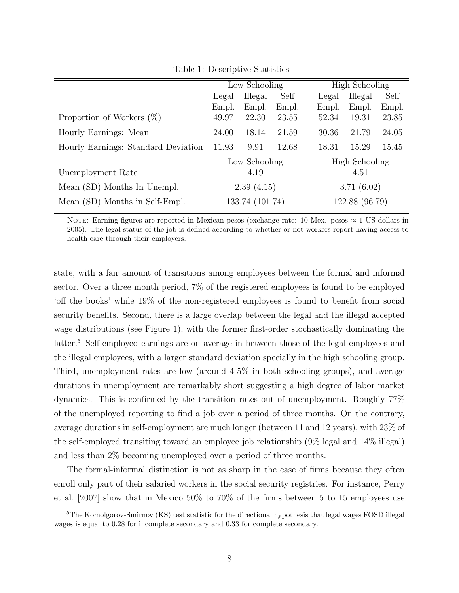|                                     | Low Schooling            |       |       |                       | <b>High Schooling</b> |       |  |
|-------------------------------------|--------------------------|-------|-------|-----------------------|-----------------------|-------|--|
|                                     | Illegal<br>Self<br>Legal |       |       | Legal                 | Illegal               | Self  |  |
|                                     | Empl.                    | Empl. | Empl. | Empl.                 | Empl.                 | Empl. |  |
| Proportion of Workers $(\%)$        | 49.97                    | 22.30 | 23.55 | 52.34                 | 19.31                 | 23.85 |  |
| Hourly Earnings: Mean               | 24.00                    | 18.14 | 21.59 | 30.36                 | 21.79                 | 24.05 |  |
| Hourly Earnings: Standard Deviation | 11.93                    | 9.91  | 12.68 | 18.31                 | 15.29                 | 15.45 |  |
|                                     | Low Schooling            |       |       | <b>High Schooling</b> |                       |       |  |
| Unemployment Rate                   | 4.19                     |       |       | 4.51                  |                       |       |  |
| Mean (SD) Months In Unempl.         | 2.39(4.15)               |       |       | 3.71(6.02)            |                       |       |  |
| Mean (SD) Months in Self-Empl.      | 133.74 (101.74)          |       |       | 122.88 (96.79)        |                       |       |  |

Table 1: Descriptive Statistics

NOTE: Earning figures are reported in Mexican pesos (exchange rate: 10 Mex. pesos  $\approx 1$  US dollars in 2005). The legal status of the job is defined according to whether or not workers report having access to health care through their employers.

state, with a fair amount of transitions among employees between the formal and informal sector. Over a three month period, 7% of the registered employees is found to be employed 'off the books' while 19% of the non-registered employees is found to benefit from social security benefits. Second, there is a large overlap between the legal and the illegal accepted wage distributions (see Figure 1), with the former first-order stochastically dominating the latter.<sup>5</sup> Self-employed earnings are on average in between those of the legal employees and the illegal employees, with a larger standard deviation specially in the high schooling group. Third, unemployment rates are low (around 4-5% in both schooling groups), and average durations in unemployment are remarkably short suggesting a high degree of labor market dynamics. This is confirmed by the transition rates out of unemployment. Roughly 77% of the unemployed reporting to find a job over a period of three months. On the contrary, average durations in self-employment are much longer (between 11 and 12 years), with 23% of the self-employed transiting toward an employee job relationship (9% legal and 14% illegal) and less than 2% becoming unemployed over a period of three months.

The formal-informal distinction is not as sharp in the case of firms because they often enroll only part of their salaried workers in the social security registries. For instance, Perry et al. [2007] show that in Mexico 50% to 70% of the firms between 5 to 15 employees use

<sup>5</sup>The Komolgorov-Smirnov (KS) test statistic for the directional hypothesis that legal wages FOSD illegal wages is equal to 0.28 for incomplete secondary and 0.33 for complete secondary.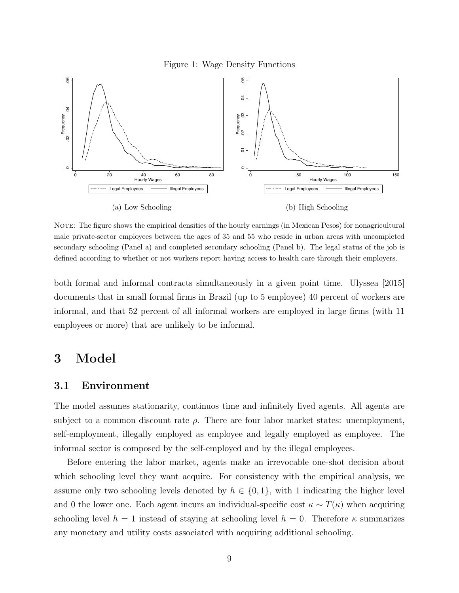Figure 1: Wage Density Functions



NOTE: The figure shows the empirical densities of the hourly earnings (in Mexican Pesos) for nonagricultural male private-sector employees between the ages of 35 and 55 who reside in urban areas with uncompleted secondary schooling (Panel a) and completed secondary schooling (Panel b). The legal status of the job is defined according to whether or not workers report having access to health care through their employers.

both formal and informal contracts simultaneously in a given point time. Ulyssea [2015] documents that in small formal firms in Brazil (up to 5 employee) 40 percent of workers are informal, and that 52 percent of all informal workers are employed in large firms (with 11 employees or more) that are unlikely to be informal.

# 3 Model

#### 3.1 Environment

The model assumes stationarity, continuos time and infinitely lived agents. All agents are subject to a common discount rate  $\rho$ . There are four labor market states: unemployment, self-employment, illegally employed as employee and legally employed as employee. The informal sector is composed by the self-employed and by the illegal employees.

Before entering the labor market, agents make an irrevocable one-shot decision about which schooling level they want acquire. For consistency with the empirical analysis, we assume only two schooling levels denoted by  $h \in \{0,1\}$ , with 1 indicating the higher level and 0 the lower one. Each agent incurs an individual-specific cost  $\kappa \sim T(\kappa)$  when acquiring schooling level  $h = 1$  instead of staying at schooling level  $h = 0$ . Therefore  $\kappa$  summarizes any monetary and utility costs associated with acquiring additional schooling.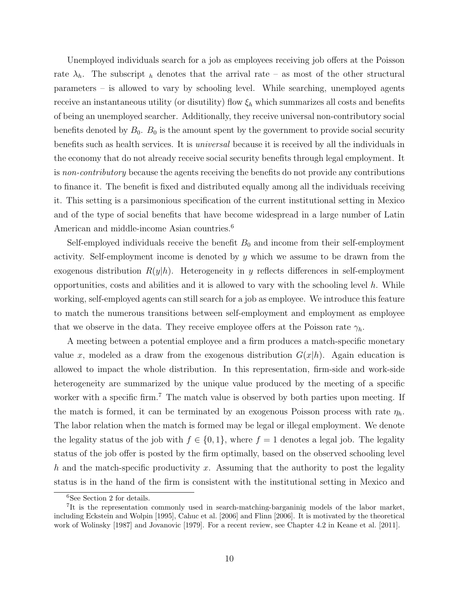Unemployed individuals search for a job as employees receiving job offers at the Poisson rate  $\lambda_h$ . The subscript h denotes that the arrival rate – as most of the other structural parameters – is allowed to vary by schooling level. While searching, unemployed agents receive an instantaneous utility (or disutility) flow  $\xi_h$  which summarizes all costs and benefits of being an unemployed searcher. Additionally, they receive universal non-contributory social benefits denoted by  $B_0$ .  $B_0$  is the amount spent by the government to provide social security benefits such as health services. It is universal because it is received by all the individuals in the economy that do not already receive social security benefits through legal employment. It is non-contributory because the agents receiving the benefits do not provide any contributions to finance it. The benefit is fixed and distributed equally among all the individuals receiving it. This setting is a parsimonious specification of the current institutional setting in Mexico and of the type of social benefits that have become widespread in a large number of Latin American and middle-income Asian countries.<sup>6</sup>

Self-employed individuals receive the benefit  $B_0$  and income from their self-employment activity. Self-employment income is denoted by y which we assume to be drawn from the exogenous distribution  $R(y|h)$ . Heterogeneity in y reflects differences in self-employment opportunities, costs and abilities and it is allowed to vary with the schooling level  $h$ . While working, self-employed agents can still search for a job as employee. We introduce this feature to match the numerous transitions between self-employment and employment as employee that we observe in the data. They receive employee offers at the Poisson rate  $\gamma_h$ .

A meeting between a potential employee and a firm produces a match-specific monetary value x, modeled as a draw from the exogenous distribution  $G(x|h)$ . Again education is allowed to impact the whole distribution. In this representation, firm-side and work-side heterogeneity are summarized by the unique value produced by the meeting of a specific worker with a specific firm.<sup>7</sup> The match value is observed by both parties upon meeting. If the match is formed, it can be terminated by an exogenous Poisson process with rate  $\eta_h$ . The labor relation when the match is formed may be legal or illegal employment. We denote the legality status of the job with  $f \in \{0,1\}$ , where  $f = 1$  denotes a legal job. The legality status of the job offer is posted by the firm optimally, based on the observed schooling level h and the match-specific productivity x. Assuming that the authority to post the legality status is in the hand of the firm is consistent with the institutional setting in Mexico and

<sup>6</sup>See Section 2 for details.

<sup>&</sup>lt;sup>7</sup>It is the representation commonly used in search-matching-barganinig models of the labor market, including Eckstein and Wolpin [1995], Cahuc et al. [2006] and Flinn [2006]. It is motivated by the theoretical work of Wolinsky [1987] and Jovanovic [1979]. For a recent review, see Chapter 4.2 in Keane et al. [2011].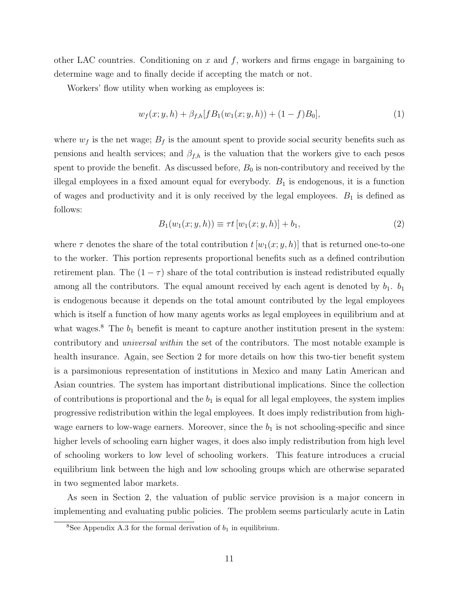other LAC countries. Conditioning on  $x$  and  $f$ , workers and firms engage in bargaining to determine wage and to finally decide if accepting the match or not.

Workers' flow utility when working as employees is:

$$
w_f(x; y, h) + \beta_{f,h}[fB_1(w_1(x; y, h)) + (1 - f)B_0],
$$
\n(1)

where  $w_f$  is the net wage;  $B_f$  is the amount spent to provide social security benefits such as pensions and health services; and  $\beta_{f,h}$  is the valuation that the workers give to each pesos spent to provide the benefit. As discussed before,  $B_0$  is non-contributory and received by the illegal employees in a fixed amount equal for everybody.  $B_1$  is endogenous, it is a function of wages and productivity and it is only received by the legal employees.  $B_1$  is defined as follows:

$$
B_1(w_1(x; y, h)) \equiv \tau t [w_1(x; y, h)] + b_1,
$$
\n(2)

where  $\tau$  denotes the share of the total contribution  $t[w_1(x; y, h)]$  that is returned one-to-one to the worker. This portion represents proportional benefits such as a defined contribution retirement plan. The  $(1 - \tau)$  share of the total contribution is instead redistributed equally among all the contributors. The equal amount received by each agent is denoted by  $b_1$ .  $b_1$ is endogenous because it depends on the total amount contributed by the legal employees which is itself a function of how many agents works as legal employees in equilibrium and at what wages.<sup>8</sup> The  $b_1$  benefit is meant to capture another institution present in the system: contributory and universal within the set of the contributors. The most notable example is health insurance. Again, see Section 2 for more details on how this two-tier benefit system is a parsimonious representation of institutions in Mexico and many Latin American and Asian countries. The system has important distributional implications. Since the collection of contributions is proportional and the  $b_1$  is equal for all legal employees, the system implies progressive redistribution within the legal employees. It does imply redistribution from highwage earners to low-wage earners. Moreover, since the  $b_1$  is not schooling-specific and since higher levels of schooling earn higher wages, it does also imply redistribution from high level of schooling workers to low level of schooling workers. This feature introduces a crucial equilibrium link between the high and low schooling groups which are otherwise separated in two segmented labor markets.

As seen in Section 2, the valuation of public service provision is a major concern in implementing and evaluating public policies. The problem seems particularly acute in Latin

<sup>&</sup>lt;sup>8</sup>See Appendix A.3 for the formal derivation of  $b_1$  in equilibrium.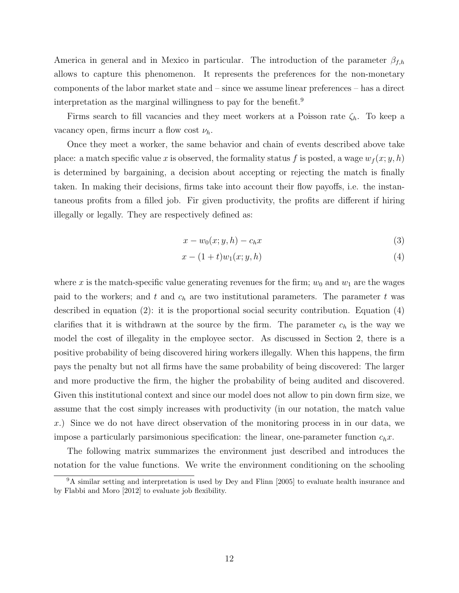America in general and in Mexico in particular. The introduction of the parameter  $\beta_{f,h}$ allows to capture this phenomenon. It represents the preferences for the non-monetary components of the labor market state and – since we assume linear preferences – has a direct interpretation as the marginal willingness to pay for the benefit.<sup>9</sup>

Firms search to fill vacancies and they meet workers at a Poisson rate  $\zeta_h$ . To keep a vacancy open, firms incurr a flow cost  $\nu_h$ .

Once they meet a worker, the same behavior and chain of events described above take place: a match specific value x is observed, the formality status f is posted, a wage  $w_f(x; y, h)$ is determined by bargaining, a decision about accepting or rejecting the match is finally taken. In making their decisions, firms take into account their flow payoffs, i.e. the instantaneous profits from a filled job. Fir given productivity, the profits are different if hiring illegally or legally. They are respectively defined as:

$$
x - w_0(x; y, h) - c_h x \tag{3}
$$

$$
x - (1+t)w_1(x; y, h)
$$
 (4)

where x is the match-specific value generating revenues for the firm;  $w_0$  and  $w_1$  are the wages paid to the workers; and t and  $c_h$  are two institutional parameters. The parameter t was described in equation (2): it is the proportional social security contribution. Equation (4) clarifies that it is withdrawn at the source by the firm. The parameter  $c_h$  is the way we model the cost of illegality in the employee sector. As discussed in Section 2, there is a positive probability of being discovered hiring workers illegally. When this happens, the firm pays the penalty but not all firms have the same probability of being discovered: The larger and more productive the firm, the higher the probability of being audited and discovered. Given this institutional context and since our model does not allow to pin down firm size, we assume that the cost simply increases with productivity (in our notation, the match value x.) Since we do not have direct observation of the monitoring process in in our data, we impose a particularly parsimonious specification: the linear, one-parameter function  $c_h x$ .

The following matrix summarizes the environment just described and introduces the notation for the value functions. We write the environment conditioning on the schooling

<sup>&</sup>lt;sup>9</sup>A similar setting and interpretation is used by Dey and Flinn [2005] to evaluate health insurance and by Flabbi and Moro [2012] to evaluate job flexibility.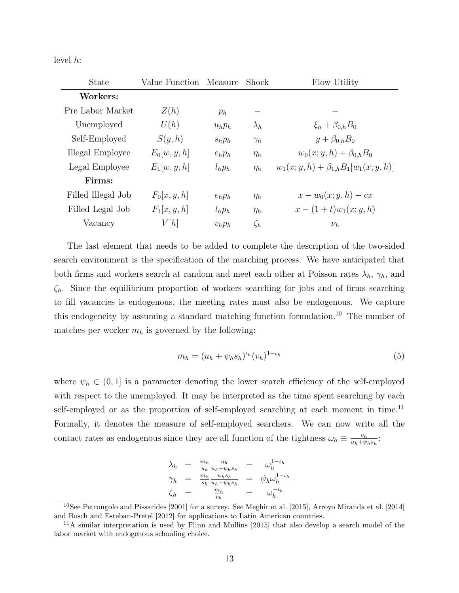level h:

| <b>State</b>       | Value Function | Measure   | Shock       | Flow Utility                                   |
|--------------------|----------------|-----------|-------------|------------------------------------------------|
| Workers:           |                |           |             |                                                |
| Pre Labor Market   | Z(h)           | $p_h$     |             |                                                |
| Unemployed         | U(h)           | $u_h p_h$ | $\lambda_h$ | $\xi_h + \beta_{0,h} B_0$                      |
| Self-Employed      | S(y,h)         | $s_h p_h$ | $\gamma_h$  | $y+\beta_{0,h}B_0$                             |
| Illegal Employee   | $E_0[w, y, h]$ | $e_h p_h$ | $\eta_h$    | $w_0(x; y, h) + \beta_{0,h} B_0$               |
| Legal Employee     | $E_1[w, y, h]$ | $l_h p_h$ | $\eta_h$    | $w_1(x; y, h) + \beta_{1,h} B_1[w_1(x; y, h)]$ |
| Firms:             |                |           |             |                                                |
| Filled Illegal Job | $F_0[x, y, h]$ | $e_h p_h$ | $\eta_h$    | $x-w_0(x; y, h) - cx$                          |
| Filled Legal Job   | $F_1[x,y,h]$   | $l_h p_h$ | $\eta_h$    | $x - (1 + t)w_1(x; y, h)$                      |
| Vacancy            | V[h]           | $v_h p_h$ | $\zeta_h$   | $\nu_h$                                        |

The last element that needs to be added to complete the description of the two-sided search environment is the specification of the matching process. We have anticipated that both firms and workers search at random and meet each other at Poisson rates  $\lambda_h$ ,  $\gamma_h$ , and  $\zeta_h$ . Since the equilibrium proportion of workers searching for jobs and of firms searching to fill vacancies is endogenous, the meeting rates must also be endogenous. We capture this endogeneity by assuming a standard matching function formulation.<sup>10</sup> The number of matches per worker  $m_h$  is governed by the following:

$$
m_h = (u_h + \psi_h s_h)^{\iota_h} (v_h)^{1 - \iota_h} \tag{5}
$$

where  $\psi_h \in (0,1]$  is a parameter denoting the lower search efficiency of the self-employed with respect to the unemployed. It may be interpreted as the time spent searching by each self-employed or as the proportion of self-employed searching at each moment in time.<sup>11</sup> Formally, it denotes the measure of self-employed searchers. We can now write all the contact rates as endogenous since they are all function of the tightness  $\omega_h \equiv \frac{v_h}{u_h + v_h}$  $\frac{v_h}{u_h+\psi_h s_h}$ :

$$
\begin{array}{rcl}\n\lambda_h & = & \frac{m_h}{u_h} \frac{u_h}{u_h + \psi_h s_h} \\
\gamma_h & = & \frac{m_h}{s_h} \frac{\psi_h s_h}{u_h + \psi_h s_h} \\
\zeta_h & = & \frac{m_h}{v_h} \\
\end{array} \qquad \begin{array}{rcl}\n\omega_h^{1 - u_h} \\
\psi_h \omega_h^{1 - u_h} \\
\zeta_h^{1 - u_h} \\
\zeta_h^{1 - u_h} \\
\zeta_h^{1 - u_h} \\
\zeta_h^{1 - u_h} \\
\zeta_h^{1 - u_h} \\
\zeta_h^{1 - u_h} \\
\zeta_h^{1 - u_h} \\
\zeta_h^{1 - u_h} \\
\zeta_h^{1 - u_h} \\
\zeta_h^{1 - u_h} \\
\zeta_h^{1 - u_h} \\
\zeta_h^{1 - u_h} \\
\zeta_h^{1 - u_h} \\
\zeta_h^{1 - u_h} \\
\zeta_h^{1 - u_h} \\
\zeta_h^{1 - u_h} \\
\zeta_h^{1 - u_h} \\
\zeta_h^{1 - u_h} \\
\zeta_h^{1 - u_h} \\
\zeta_h^{1 - u_h} \\
\zeta_h^{1 - u_h} \\
\zeta_h^{1 - u_h} \\
\zeta_h^{1 - u_h} \\
\zeta_h^{1 - u_h} \\
\zeta_h^{1 - u_h} \\
\zeta_h^{1 - u_h} \\
\zeta_h^{1 - u_h} \\
\zeta_h^{1 - u_h} \\
\zeta_h^{1 - u_h} \\
\zeta_h^{1 - u_h} \\
\zeta_h^{1 - u_h} \\
\zeta_h^{1 - u_h} \\
\zeta_h^{1 - u_h} \\
\zeta_h^{1 - u_h} \\
\zeta_h^{1 - u_h} \\
\zeta_h^{1 - u_h} \\
\zeta_h^{1 - u_h} \\
\zeta_h^{1 - u_h} \\
\zeta_h^{1 - u_h} \\
\zeta_h^{1 - u_h} \\
\zeta_h^{1 - u_h} \\
\zeta_h^{1 - u_h} \\
\zeta_h^{1 - u_h} \\
\zeta_h^{1 - u_h} \\
\zeta_h^{1 - u_h} \\
\zeta_h^{1 - u_h} \\
\zeta_h^{1 - u_h} \\
\zeta_h^{1 - u_h} \\
\zeta_h^{1 - u_h} \\
\zeta_h^{1 - u_h} \\
\zeta_h^{1 - u_h} \\
\zeta_h^{1 - u_h} \\
\zeta_h^{1 - u_h} \\
\zeta_h^{1 - u_h} \\
\zeta_h^{1 - u_h} \\
\zeta_h^{1 - u_h} \\
\z
$$

<sup>10</sup>See Petrongolo and Pissarides [2001] for a survey. See Meghir et al. [2015], Arroyo Miranda et al. [2014] and Bosch and Esteban-Pretel [2012] for applications to Latin American countries.

<sup>11</sup>A similar interpretation is used by Flinn and Mullins [2015] that also develop a search model of the labor market with endogenous schooling choice.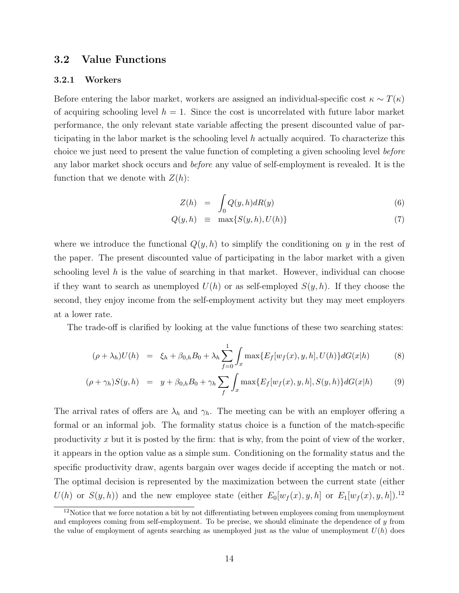# 3.2 Value Functions

#### 3.2.1 Workers

Before entering the labor market, workers are assigned an individual-specific cost  $\kappa \sim T(\kappa)$ of acquiring schooling level  $h = 1$ . Since the cost is uncorrelated with future labor market performance, the only relevant state variable affecting the present discounted value of participating in the labor market is the schooling level  $h$  actually acquired. To characterize this choice we just need to present the value function of completing a given schooling level before any labor market shock occurs and before any value of self-employment is revealed. It is the function that we denote with  $Z(h)$ :

$$
Z(h) = \int_0 Q(y, h) dR(y) \tag{6}
$$

$$
Q(y, h) \equiv \max\{S(y, h), U(h)\}\tag{7}
$$

where we introduce the functional  $Q(y, h)$  to simplify the conditioning on y in the rest of the paper. The present discounted value of participating in the labor market with a given schooling level h is the value of searching in that market. However, individual can choose if they want to search as unemployed  $U(h)$  or as self-employed  $S(y, h)$ . If they choose the second, they enjoy income from the self-employment activity but they may meet employers at a lower rate.

The trade-off is clarified by looking at the value functions of these two searching states:

$$
(\rho + \lambda_h)U(h) = \xi_h + \beta_{0,h}B_0 + \lambda_h \sum_{f=0}^1 \int_x \max\{E_f[w_f(x), y, h], U(h)\} dG(x|h)
$$
 (8)

$$
(\rho + \gamma_h)S(y, h) = y + \beta_{0,h}B_0 + \gamma_h \sum_f \int_x \max\{E_f[w_f(x), y, h], S(y, h)\} dG(x|h)
$$
(9)

The arrival rates of offers are  $\lambda_h$  and  $\gamma_h$ . The meeting can be with an employer offering a formal or an informal job. The formality status choice is a function of the match-specific productivity x but it is posted by the firm: that is why, from the point of view of the worker, it appears in the option value as a simple sum. Conditioning on the formality status and the specific productivity draw, agents bargain over wages decide if accepting the match or not. The optimal decision is represented by the maximization between the current state (either  $U(h)$  or  $S(y, h)$  and the new employee state (either  $E_0[w_f(x), y, h]$  or  $E_1[w_f(x), y, h]$ ).<sup>12</sup>

<sup>&</sup>lt;sup>12</sup>Notice that we force notation a bit by not differentiating between employees coming from unemployment and employees coming from self-employment. To be precise, we should eliminate the dependence of  $\eta$  from the value of employment of agents searching as unemployed just as the value of unemployment  $U(h)$  does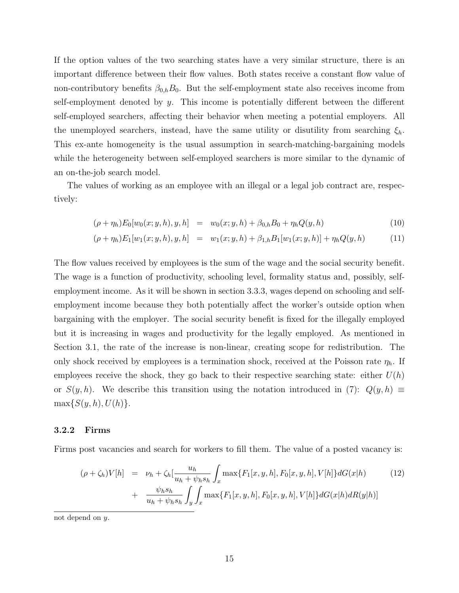If the option values of the two searching states have a very similar structure, there is an important difference between their flow values. Both states receive a constant flow value of non-contributory benefits  $\beta_{0,h}B_0$ . But the self-employment state also receives income from self-employment denoted by  $y$ . This income is potentially different between the different self-employed searchers, affecting their behavior when meeting a potential employers. All the unemployed searchers, instead, have the same utility or disutility from searching  $\xi_h$ . This ex-ante homogeneity is the usual assumption in search-matching-bargaining models while the heterogeneity between self-employed searchers is more similar to the dynamic of an on-the-job search model.

The values of working as an employee with an illegal or a legal job contract are, respectively:

$$
(\rho + \eta_h) E_0[w_0(x; y, h), y, h] = w_0(x; y, h) + \beta_{0,h} B_0 + \eta_h Q(y, h)
$$
\n(10)

$$
(\rho + \eta_h) E_1[w_1(x; y, h), y, h] = w_1(x; y, h) + \beta_{1,h} B_1[w_1(x; y, h)] + \eta_h Q(y, h)
$$
(11)

The flow values received by employees is the sum of the wage and the social security benefit. The wage is a function of productivity, schooling level, formality status and, possibly, selfemployment income. As it will be shown in section 3.3.3, wages depend on schooling and selfemployment income because they both potentially affect the worker's outside option when bargaining with the employer. The social security benefit is fixed for the illegally employed but it is increasing in wages and productivity for the legally employed. As mentioned in Section 3.1, the rate of the increase is non-linear, creating scope for redistribution. The only shock received by employees is a termination shock, received at the Poisson rate  $\eta_h$ . If employees receive the shock, they go back to their respective searching state: either  $U(h)$ or  $S(y, h)$ . We describe this transition using the notation introduced in (7):  $Q(y, h) \equiv$  $\max\{S(y, h), U(h)\}.$ 

#### 3.2.2 Firms

Firms post vacancies and search for workers to fill them. The value of a posted vacancy is:

$$
(\rho + \zeta_h)V[h] = \nu_h + \zeta_h[\frac{u_h}{u_h + \psi_h s_h} \int_x \max\{F_1[x, y, h], F_0[x, y, h], V[h]\} dG(x|h) \tag{12}
$$

$$
+ \frac{\psi_h s_h}{u_h + \psi_h s_h} \int_y \int_x \max\{F_1[x, y, h], F_0[x, y, h], V[h]\} dG(x|h) dR(y|h)]
$$

not depend on y.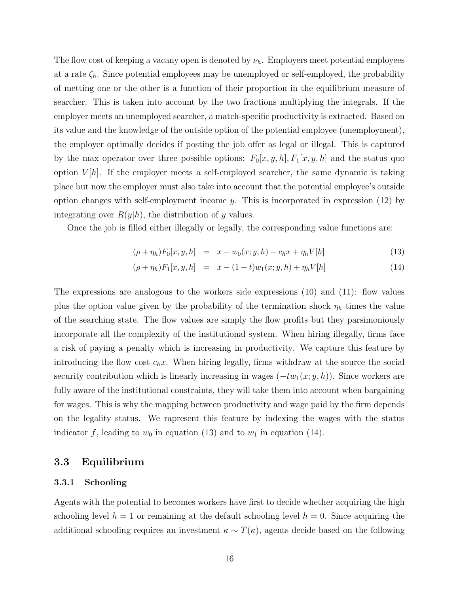The flow cost of keeping a vacany open is denoted by  $\nu_h$ . Employers meet potential employees at a rate  $\zeta_h$ . Since potential employees may be unemployed or self-employed, the probability of metting one or the other is a function of their proportion in the equilibrium measure of searcher. This is taken into account by the two fractions multiplying the integrals. If the employer meets an unemployed searcher, a match-specific productivity is extracted. Based on its value and the knowledge of the outside option of the potential employee (unemployment), the employer optimally decides if posting the job offer as legal or illegal. This is captured by the max operator over three possible options:  $F_0[x, y, h], F_1[x, y, h]$  and the status quo option  $V[h]$ . If the employer meets a self-employed searcher, the same dynamic is taking place but now the employer must also take into account that the potential employee's outside option changes with self-employment income  $y$ . This is incorporated in expression (12) by integrating over  $R(y|h)$ , the distribution of y values.

Once the job is filled either illegally or legally, the corresponding value functions are:

$$
(\rho + \eta_h) F_0[x, y, h] = x - w_0(x; y, h) - c_h x + \eta_h V[h]
$$
\n(13)

$$
(\rho + \eta_h) F_1[x, y, h] = x - (1 + t) w_1(x; y, h) + \eta_h V[h]
$$
\n(14)

The expressions are analogous to the workers side expressions (10) and (11): flow values plus the option value given by the probability of the termination shock  $\eta_h$  times the value of the searching state. The flow values are simply the flow profits but they parsimoniously incorporate all the complexity of the institutional system. When hiring illegally, firms face a risk of paying a penalty which is increasing in productivity. We capture this feature by introducing the flow cost  $c_hx$ . When hiring legally, firms withdraw at the source the social security contribution which is linearly increasing in wages  $(-tw_1(x; y, h))$ . Since workers are fully aware of the institutional constraints, they will take them into account when bargaining for wages. This is why the mapping between productivity and wage paid by the firm depends on the legality status. We rapresent this feature by indexing the wages with the status indicator f, leading to  $w_0$  in equation (13) and to  $w_1$  in equation (14).

### 3.3 Equilibrium

#### 3.3.1 Schooling

Agents with the potential to becomes workers have first to decide whether acquiring the high schooling level  $h = 1$  or remaining at the default schooling level  $h = 0$ . Since acquiring the additional schooling requires an investment  $\kappa \sim T(\kappa)$ , agents decide based on the following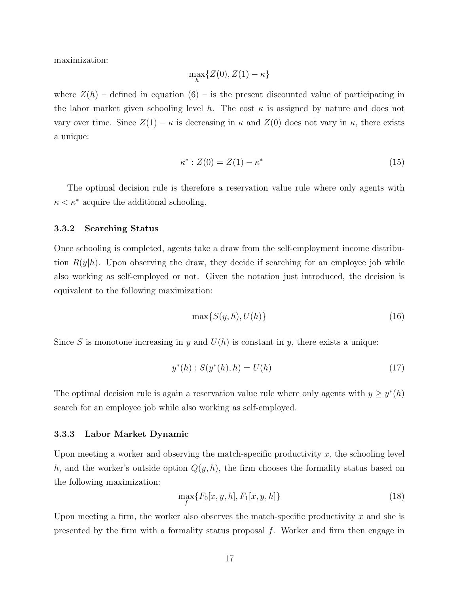maximization:

$$
\max_{h} \{Z(0), Z(1) - \kappa\}
$$

where  $Z(h)$  – defined in equation (6) – is the present discounted value of participating in the labor market given schooling level h. The cost  $\kappa$  is assigned by nature and does not vary over time. Since  $Z(1) - \kappa$  is decreasing in  $\kappa$  and  $Z(0)$  does not vary in  $\kappa$ , there exists a unique:

$$
\kappa^* : Z(0) = Z(1) - \kappa^* \tag{15}
$$

The optimal decision rule is therefore a reservation value rule where only agents with  $\kappa < \kappa^*$  acquire the additional schooling.

#### 3.3.2 Searching Status

Once schooling is completed, agents take a draw from the self-employment income distribution  $R(y|h)$ . Upon observing the draw, they decide if searching for an employee job while also working as self-employed or not. Given the notation just introduced, the decision is equivalent to the following maximization:

$$
\max\{S(y,h), U(h)\}\tag{16}
$$

Since S is monotone increasing in y and  $U(h)$  is constant in y, there exists a unique:

$$
y^*(h) : S(y^*(h), h) = U(h)
$$
\n(17)

The optimal decision rule is again a reservation value rule where only agents with  $y \geq y^*(h)$ search for an employee job while also working as self-employed.

#### 3.3.3 Labor Market Dynamic

Upon meeting a worker and observing the match-specific productivity  $x$ , the schooling level h, and the worker's outside option  $Q(y, h)$ , the firm chooses the formality status based on the following maximization:

$$
\max_{f} \{ F_0[x, y, h], F_1[x, y, h] \}
$$
\n(18)

Upon meeting a firm, the worker also observes the match-specific productivity  $x$  and she is presented by the firm with a formality status proposal  $f$ . Worker and firm then engage in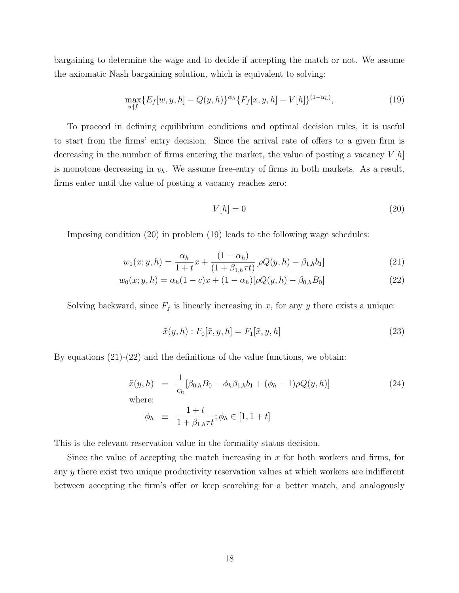bargaining to determine the wage and to decide if accepting the match or not. We assume the axiomatic Nash bargaining solution, which is equivalent to solving:

$$
\max_{w|f} \{ E_f[w, y, h] - Q(y, h) \}^{\alpha_h} \{ F_f[x, y, h] - V[h] \}^{(1 - \alpha_h)},\tag{19}
$$

To proceed in defining equilibrium conditions and optimal decision rules, it is useful to start from the firms' entry decision. Since the arrival rate of offers to a given firm is decreasing in the number of firms entering the market, the value of posting a vacancy  $V|h|$ is monotone decreasing in  $v_h$ . We assume free-entry of firms in both markets. As a result, firms enter until the value of posting a vacancy reaches zero:

$$
V[h] = 0 \tag{20}
$$

Imposing condition (20) in problem (19) leads to the following wage schedules:

$$
w_1(x; y, h) = \frac{\alpha_h}{1+t}x + \frac{(1-\alpha_h)}{(1+\beta_{1,h}\tau t)}[\rho Q(y, h) - \beta_{1,h}b_1]
$$
\n(21)

$$
w_0(x; y, h) = \alpha_h(1 - c)x + (1 - \alpha_h)[\rho Q(y, h) - \beta_{0,h} B_0]
$$
\n(22)

Solving backward, since  $F_f$  is linearly increasing in x, for any y there exists a unique:

$$
\tilde{x}(y,h): F_0[\tilde{x},y,h] = F_1[\tilde{x},y,h]
$$
\n(23)

By equations  $(21)-(22)$  and the definitions of the value functions, we obtain:

$$
\tilde{x}(y, h) = \frac{1}{c_h} [\beta_{0,h} B_0 - \phi_h \beta_{1,h} b_1 + (\phi_h - 1) \rho Q(y, h)]
$$
\nwhere:  
\n
$$
\phi_h \equiv \frac{1 + t}{1 + \beta_{1,h} \tau t}; \phi_h \in [1, 1 + t]
$$
\n(24)

This is the relevant reservation value in the formality status decision.

Since the value of accepting the match increasing in  $x$  for both workers and firms, for any y there exist two unique productivity reservation values at which workers are indifferent between accepting the firm's offer or keep searching for a better match, and analogously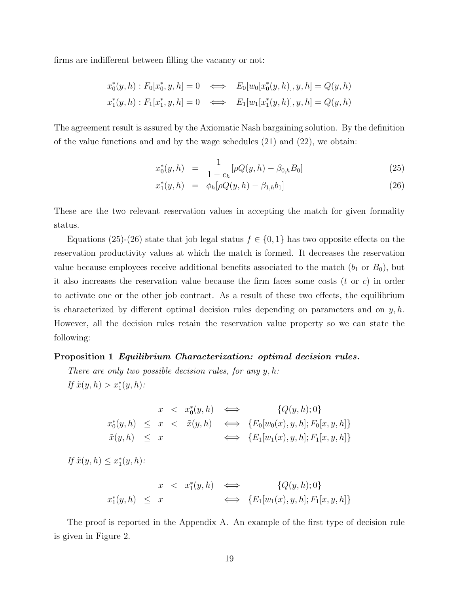firms are indifferent between filling the vacancy or not:

$$
x_0^*(y, h) : F_0[x_0^*, y, h] = 0 \iff E_0[w_0[x_0^*(y, h)], y, h] = Q(y, h)
$$
  

$$
x_1^*(y, h) : F_1[x_1^*, y, h] = 0 \iff E_1[w_1[x_1^*(y, h)], y, h] = Q(y, h)
$$

The agreement result is assured by the Axiomatic Nash bargaining solution. By the definition of the value functions and and by the wage schedules (21) and (22), we obtain:

$$
x_0^*(y, h) = \frac{1}{1 - c_h} [\rho Q(y, h) - \beta_{0,h} B_0]
$$
 (25)

$$
x_1^*(y, h) = \phi_h[\rho Q(y, h) - \beta_{1,h} b_1]
$$
\n(26)

These are the two relevant reservation values in accepting the match for given formality status.

Equations (25)-(26) state that job legal status  $f \in \{0, 1\}$  has two opposite effects on the reservation productivity values at which the match is formed. It decreases the reservation value because employees receive additional benefits associated to the match  $(b_1 \text{ or } B_0)$ , but it also increases the reservation value because the firm faces some costs  $(t \text{ or } c)$  in order to activate one or the other job contract. As a result of these two effects, the equilibrium is characterized by different optimal decision rules depending on parameters and on  $y, h$ . However, all the decision rules retain the reservation value property so we can state the following:

#### Proposition 1 Equilibrium Characterization: optimal decision rules.

There are only two possible decision rules, for any  $y, h$ : If  $\tilde{x}(y, h) > x_1^*(y, h)$ :

$$
x < x_0^*(y, h) \iff \{Q(y, h); 0\}
$$
  

$$
x_0^*(y, h) \le x < \tilde{x}(y, h) \iff \{E_0[w_0(x), y, h]; F_0[x, y, h]\}
$$
  

$$
\tilde{x}(y, h) \le x \iff \{E_1[w_1(x), y, h]; F_1[x, y, h]\}
$$

If  $\tilde{x}(y, h) \leq x_1^*(y, h)$ :

$$
x < x_1^*(y, h) \iff \{Q(y, h); 0\}
$$
  

$$
x_1^*(y, h) \leq x \iff \{E_1[w_1(x), y, h]; F_1[x, y, h]\}
$$

The proof is reported in the Appendix A. An example of the first type of decision rule is given in Figure 2.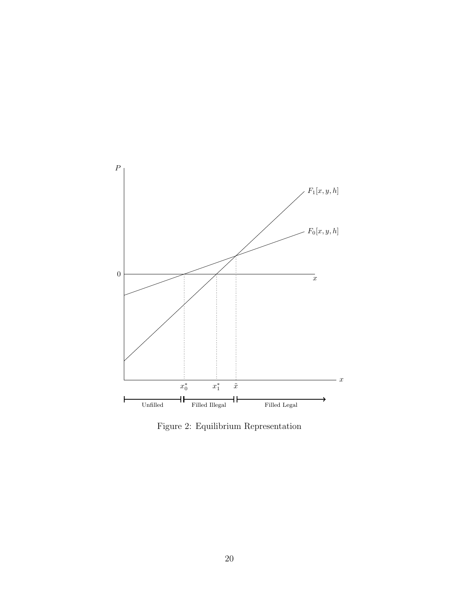

Figure 2: Equilibrium Representation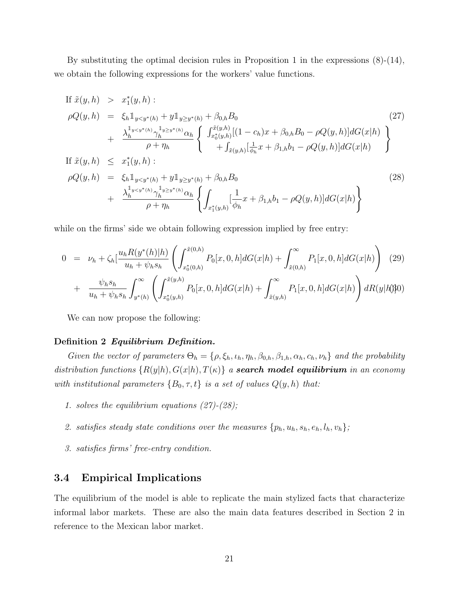By substituting the optimal decision rules in Proposition 1 in the expressions (8)-(14), we obtain the following expressions for the workers' value functions.

If 
$$
\tilde{x}(y, h) > x_1^*(y, h)
$$
:  
\n
$$
\rho Q(y, h) = \xi_h 1_{y < y^*(h)} + y 1_{y \ge y^*(h)} + \beta_{0,h} B_0
$$
\n
$$
+ \frac{\lambda_h^{1_{y < y^*(h)}} \gamma_h^{1_{y \ge y^*(h)}} \alpha_h}{\rho + \eta_h} \left\{ \frac{\int_{x_0^*(y, h)}^{x(y, h)} [(1 - c_h)x + \beta_{0,h} B_0 - \rho Q(y, h)] dG(x|h) \right\} + \int_{\tilde{x}(y, h)} \left\{ \frac{\int_{x_0^*(y, h)}^{x(y, h)} [(1 - c_h)x + \beta_{0,h} B_0 - \rho Q(y, h)] dG(x|h) \right\} + \int_{\tilde{x}(y, h)} \left\{ \frac{\int_{\tilde{x}(y, h)}^{x(y, h)} \left[ \frac{1}{\phi_h} x + \beta_{1,h} b_1 - \rho Q(y, h) \right] dG(x|h) \right\} + \frac{\lambda_h^{1_{y < y^*(h)}} \gamma_h^{1_{y \ge y^*(h)}} \alpha_h}{\rho + \eta_h} \left\{ \int_{x_1^*(y, h)} \left[ \frac{1}{\phi_h} x + \beta_{1,h} b_1 - \rho Q(y, h) \right] dG(x|h) \right\}
$$
\n(28)

while on the firms' side we obtain following expression implied by free entry:

$$
0 = \nu_h + \zeta_h \left[ \frac{u_h R(y^*(h)) h)}{u_h + \psi_h s_h} \left( \int_{x_0^*(0,h)}^{\tilde{x}(0,h)} P_0[x,0,h] dG(x|h) + \int_{\tilde{x}(0,h)}^{\infty} P_1[x,0,h] dG(x|h) \right) (29) + \frac{\psi_h s_h}{u_h + \psi_h s_h} \int_{y^*(h)}^{\infty} \left( \int_{x_0^*(y,h)}^{\tilde{x}(y,h)} P_0[x,0,h] dG(x|h) + \int_{\tilde{x}(y,h)}^{\infty} P_1[x,0,h] dG(x|h) \right) dR(y|h) \tag{29}
$$

We can now propose the following:

#### Definition 2 Equilibrium Definition.

Given the vector of parameters  $\Theta_h = \{\rho, \xi_h, \iota_h, \eta_h, \beta_{0,h}, \beta_{1,h}, \alpha_h, c_h, \nu_h\}$  and the probability distribution functions  $\{R(y|h), G(x|h), T(\kappa)\}\$ a **search model equilibrium** in an economy with institutional parameters  $\{B_0, \tau, t\}$  is a set of values  $Q(y, h)$  that:

- 1. solves the equilibrium equations (27)-(28);
- 2. satisfies steady state conditions over the measures  $\{p_h, u_h, s_h, e_h, l_h, v_h\};$
- 3. satisfies firms' free-entry condition.

# 3.4 Empirical Implications

The equilibrium of the model is able to replicate the main stylized facts that characterize informal labor markets. These are also the main data features described in Section 2 in reference to the Mexican labor market.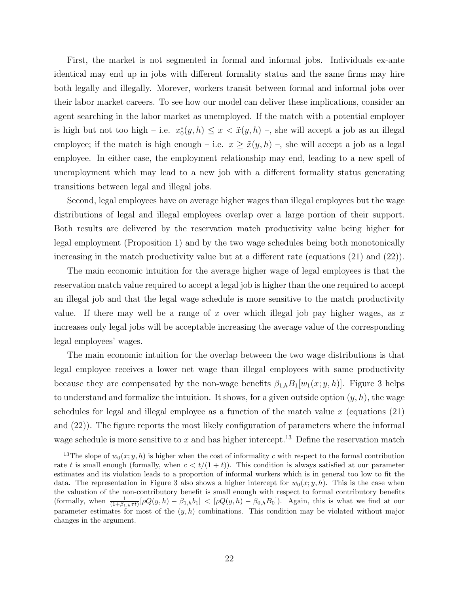First, the market is not segmented in formal and informal jobs. Individuals ex-ante identical may end up in jobs with different formality status and the same firms may hire both legally and illegally. Morever, workers transit between formal and informal jobs over their labor market careers. To see how our model can deliver these implications, consider an agent searching in the labor market as unemployed. If the match with a potential employer is high but not too high – i.e.  $x_0^*(y, h) \leq x < \tilde{x}(y, h)$  –, she will accept a job as an illegal employee; if the match is high enough – i.e.  $x \ge \tilde{x}(y, h)$  –, she will accept a job as a legal employee. In either case, the employment relationship may end, leading to a new spell of unemployment which may lead to a new job with a different formality status generating transitions between legal and illegal jobs.

Second, legal employees have on average higher wages than illegal employees but the wage distributions of legal and illegal employees overlap over a large portion of their support. Both results are delivered by the reservation match productivity value being higher for legal employment (Proposition 1) and by the two wage schedules being both monotonically increasing in the match productivity value but at a different rate (equations (21) and (22)).

The main economic intuition for the average higher wage of legal employees is that the reservation match value required to accept a legal job is higher than the one required to accept an illegal job and that the legal wage schedule is more sensitive to the match productivity value. If there may well be a range of  $x$  over which illegal job pay higher wages, as  $x$ increases only legal jobs will be acceptable increasing the average value of the corresponding legal employees' wages.

The main economic intuition for the overlap between the two wage distributions is that legal employee receives a lower net wage than illegal employees with same productivity because they are compensated by the non-wage benefits  $\beta_{1,h}B_1[w_1(x; y, h)]$ . Figure 3 helps to understand and formalize the intuition. It shows, for a given outside option  $(y, h)$ , the wage schedules for legal and illegal employee as a function of the match value  $x$  (equations  $(21)$ ) and (22)). The figure reports the most likely configuration of parameters where the informal wage schedule is more sensitive to  $x$  and has higher intercept.<sup>13</sup> Define the reservation match

<sup>&</sup>lt;sup>13</sup>The slope of  $w_0(x; y, h)$  is higher when the cost of informality c with respect to the formal contribution rate t is small enough (formally, when  $c < t/(1 + t)$ ). This condition is always satisfied at our parameter estimates and its violation leads to a proportion of informal workers which is in general too low to fit the data. The representation in Figure 3 also shows a higher intercept for  $w_0(x; y, h)$ . This is the case when the valuation of the non-contributory benefit is small enough with respect to formal contributory benefits (formally, when  $\frac{1}{(1+\beta_{1,h}\tau t)}[\rho Q(y,h) - \beta_{1,h}b_1] < [\rho Q(y,h) - \beta_{0,h}B_0]$ ). Again, this is what we find at our parameter estimates for most of the  $(y, h)$  combinations. This condition may be violated without major changes in the argument.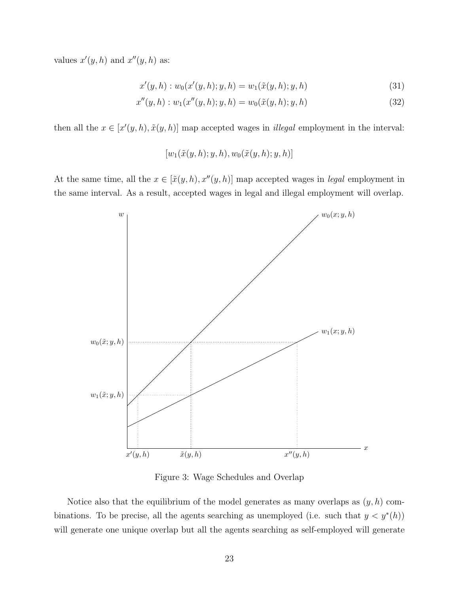values  $x'(y, h)$  and  $x''(y, h)$  as:

$$
x'(y,h) : w_0(x'(y,h);y,h) = w_1(\tilde{x}(y,h);y,h)
$$
\n(31)

$$
x''(y,h) : w_1(x''(y,h);y,h) = w_0(\tilde{x}(y,h);y,h)
$$
\n(32)

then all the  $x \in [x'(y, h), \tilde{x}(y, h)]$  map accepted wages in *illegal* employment in the interval:

$$
[w_1(\tilde{x}(y,h);y,h),w_0(\tilde{x}(y,h);y,h)]
$$

At the same time, all the  $x \in [\tilde{x}(y, h), x''(y, h)]$  map accepted wages in *legal* employment in the same interval. As a result, accepted wages in legal and illegal employment will overlap.



Figure 3: Wage Schedules and Overlap

Notice also that the equilibrium of the model generates as many overlaps as  $(y, h)$  combinations. To be precise, all the agents searching as unemployed (i.e. such that  $y < y^*(h)$ ) will generate one unique overlap but all the agents searching as self-employed will generate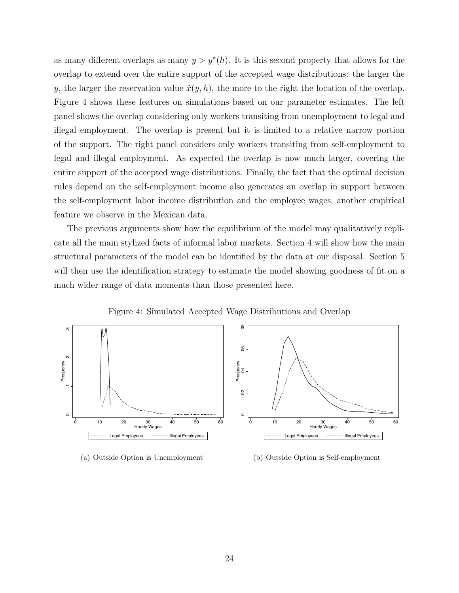as many different overlaps as many  $y > y^*(h)$ . It is this second property that allows for the overlap to extend over the entire support of the accepted wage distributions: the larger the y, the larger the reservation value  $\tilde{x}(y, h)$ , the more to the right the location of the overlap. Figure 4 shows these features on simulations based on our parameter estimates. The left panel shows the overlap considering only workers transiting from unemployment to legal and illegal employment. The overlap is present but it is limited to a relative narrow portion of the support. The right panel considers only workers transiting from self-employment to legal and illegal employment. As expected the overlap is now much larger, covering the entire support of the accepted wage distributions. Finally, the fact that the optimal decision rules depend on the self-employment income also generates an overlap in support between the self-employment labor income distribution and the employee wages, another empirical feature we observe in the Mexican data.

The previous arguments show how the equilibrium of the model may qualitatively replicate all the main stylized facts of informal labor markets. Section 4 will show how the main structural parameters of the model can be identified by the data at our disposal. Section 5 will then use the identification strategy to estimate the model showing goodness of fit on a much wider range of data moments than those presented here.



Figure 4: Simulated Accepted Wage Distributions and Overlap

#### (a) Outside Option is Unemployment

(b) Outside Option is Self-employment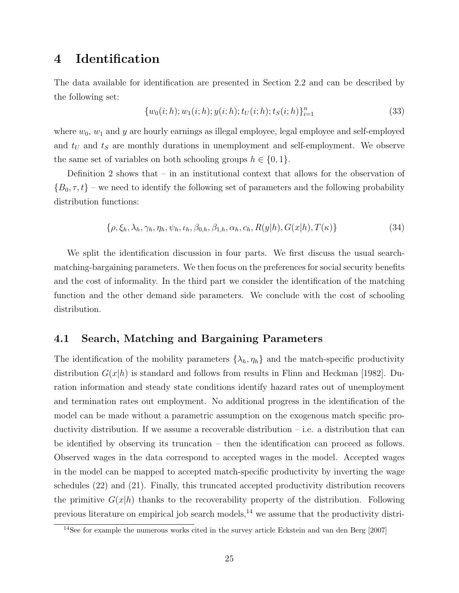# 4 Identification

The data available for identification are presented in Section 2.2 and can be described by the following set:

$$
\{w_0(i;h); w_1(i;h); y(i;h); t_U(i;h); t_S(i;h)\}_{i=1}^n
$$
\n(33)

where  $w_0$ ,  $w_1$  and y are hourly earnings as illegal employee, legal employee and self-employed and  $t_U$  and  $t_S$  are monthly durations in unemployment and self-employment. We observe the same set of variables on both schooling groups  $h \in \{0, 1\}.$ 

Definition 2 shows that – in an institutional context that allows for the observation of  ${B_0, \tau, t}$  – we need to identify the following set of parameters and the following probability distribution functions:

$$
\{\rho, \xi_h, \lambda_h, \gamma_h, \eta_h, \psi_h, \iota_h, \beta_{0,h}, \beta_{1,h}, \alpha_h, c_h, R(y|h), G(x|h), T(\kappa)\}\
$$
\n(34)

We split the identification discussion in four parts. We first discuss the usual searchmatching-bargaining parameters. We then focus on the preferences for social security benefits and the cost of informality. In the third part we consider the identification of the matching function and the other demand side parameters. We conclude with the cost of schooling distribution.

### 4.1 Search, Matching and Bargaining Parameters

The identification of the mobility parameters  $\{\lambda_h, \eta_h\}$  and the match-specific productivity distribution  $G(x|h)$  is standard and follows from results in Flinn and Heckman [1982]. Duration information and steady state conditions identify hazard rates out of unemployment and termination rates out employment. No additional progress in the identification of the model can be made without a parametric assumption on the exogenous match specific productivity distribution. If we assume a recoverable distribution  $-$  i.e. a distribution that can be identified by observing its truncation – then the identification can proceed as follows. Observed wages in the data correspond to accepted wages in the model. Accepted wages in the model can be mapped to accepted match-specific productivity by inverting the wage schedules (22) and (21). Finally, this truncated accepted productivity distribution recovers the primitive  $G(x|h)$  thanks to the recoverability property of the distribution. Following previous literature on empirical job search models,<sup>14</sup> we assume that the productivity distri-

<sup>14</sup>See for example the numerous works cited in the survey article Eckstein and van den Berg [2007]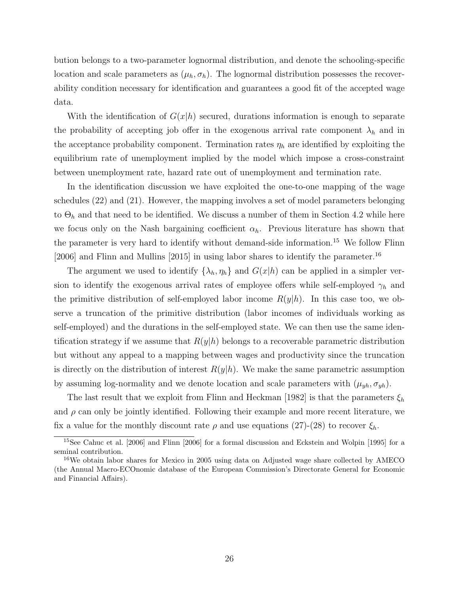bution belongs to a two-parameter lognormal distribution, and denote the schooling-specific location and scale parameters as  $(\mu_h, \sigma_h)$ . The lognormal distribution possesses the recoverability condition necessary for identification and guarantees a good fit of the accepted wage data.

With the identification of  $G(x|h)$  secured, durations information is enough to separate the probability of accepting job offer in the exogenous arrival rate component  $\lambda_h$  and in the acceptance probability component. Termination rates  $\eta_h$  are identified by exploiting the equilibrium rate of unemployment implied by the model which impose a cross-constraint between unemployment rate, hazard rate out of unemployment and termination rate.

In the identification discussion we have exploited the one-to-one mapping of the wage schedules (22) and (21). However, the mapping involves a set of model parameters belonging to  $\Theta_h$  and that need to be identified. We discuss a number of them in Section 4.2 while here we focus only on the Nash bargaining coefficient  $\alpha_h$ . Previous literature has shown that the parameter is very hard to identify without demand-side information.<sup>15</sup> We follow Flinn [2006] and Flinn and Mullins [2015] in using labor shares to identify the parameter.<sup>16</sup>

The argument we used to identify  $\{\lambda_h, \eta_h\}$  and  $G(x|h)$  can be applied in a simpler version to identify the exogenous arrival rates of employee offers while self-employed  $\gamma_h$  and the primitive distribution of self-employed labor income  $R(y|h)$ . In this case too, we observe a truncation of the primitive distribution (labor incomes of individuals working as self-employed) and the durations in the self-employed state. We can then use the same identification strategy if we assume that  $R(y|h)$  belongs to a recoverable parametric distribution but without any appeal to a mapping between wages and productivity since the truncation is directly on the distribution of interest  $R(y|h)$ . We make the same parametric assumption by assuming log-normality and we denote location and scale parameters with  $(\mu_{yh}, \sigma_{yh})$ .

The last result that we exploit from Flinn and Heckman [1982] is that the parameters  $\xi_h$ and  $\rho$  can only be jointly identified. Following their example and more recent literature, we fix a value for the monthly discount rate  $\rho$  and use equations (27)-(28) to recover  $\xi_h$ .

<sup>15</sup>See Cahuc et al. [2006] and Flinn [2006] for a formal discussion and Eckstein and Wolpin [1995] for a seminal contribution.

<sup>&</sup>lt;sup>16</sup>We obtain labor shares for Mexico in 2005 using data on Adjusted wage share collected by AMECO (the Annual Macro-ECOnomic database of the European Commission's Directorate General for Economic and Financial Affairs).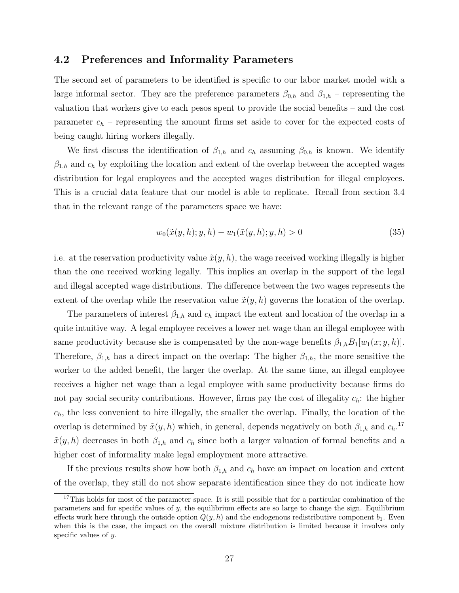### 4.2 Preferences and Informality Parameters

The second set of parameters to be identified is specific to our labor market model with a large informal sector. They are the preference parameters  $\beta_{0,h}$  and  $\beta_{1,h}$  – representing the valuation that workers give to each pesos spent to provide the social benefits – and the cost parameter  $c_h$  – representing the amount firms set aside to cover for the expected costs of being caught hiring workers illegally.

We first discuss the identification of  $\beta_{1,h}$  and  $c_h$  assuming  $\beta_{0,h}$  is known. We identify  $\beta_{1,h}$  and  $c_h$  by exploiting the location and extent of the overlap between the accepted wages distribution for legal employees and the accepted wages distribution for illegal employees. This is a crucial data feature that our model is able to replicate. Recall from section 3.4 that in the relevant range of the parameters space we have:

$$
w_0(\tilde{x}(y,h);y,h) - w_1(\tilde{x}(y,h);y,h) > 0
$$
\n(35)

i.e. at the reservation productivity value  $\tilde{x}(y, h)$ , the wage received working illegally is higher than the one received working legally. This implies an overlap in the support of the legal and illegal accepted wage distributions. The difference between the two wages represents the extent of the overlap while the reservation value  $\tilde{x}(y, h)$  governs the location of the overlap.

The parameters of interest  $\beta_{1,h}$  and  $c_h$  impact the extent and location of the overlap in a quite intuitive way. A legal employee receives a lower net wage than an illegal employee with same productivity because she is compensated by the non-wage benefits  $\beta_{1,h}B_1[w_1(x; y, h)]$ . Therefore,  $\beta_{1,h}$  has a direct impact on the overlap: The higher  $\beta_{1,h}$ , the more sensitive the worker to the added benefit, the larger the overlap. At the same time, an illegal employee receives a higher net wage than a legal employee with same productivity because firms do not pay social security contributions. However, firms pay the cost of illegality  $c_h$ : the higher  $c_h$ , the less convenient to hire illegally, the smaller the overlap. Finally, the location of the overlap is determined by  $\tilde{x}(y, h)$  which, in general, depends negatively on both  $\beta_{1,h}$  and  $c_h$ <sup>17</sup>  $\tilde{x}(y, h)$  decreases in both  $\beta_{1,h}$  and  $c_h$  since both a larger valuation of formal benefits and a higher cost of informality make legal employment more attractive.

If the previous results show how both  $\beta_{1,h}$  and  $c_h$  have an impact on location and extent of the overlap, they still do not show separate identification since they do not indicate how

<sup>&</sup>lt;sup>17</sup>This holds for most of the parameter space. It is still possible that for a particular combination of the parameters and for specific values of y, the equilibrium effects are so large to change the sign. Equilibrium effects work here through the outside option  $Q(y, h)$  and the endogenous redistributive component  $b_1$ . Even when this is the case, the impact on the overall mixture distribution is limited because it involves only specific values of y.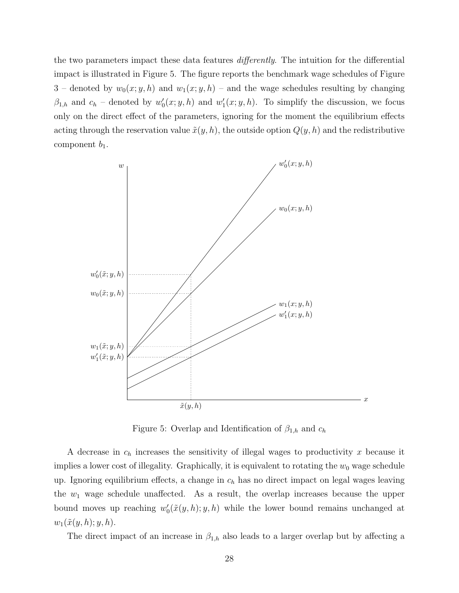the two parameters impact these data features differently. The intuition for the differential impact is illustrated in Figure 5. The figure reports the benchmark wage schedules of Figure 3 – denoted by  $w_0(x; y, h)$  and  $w_1(x; y, h)$  – and the wage schedules resulting by changing  $\beta_{1,h}$  and  $c_h$  – denoted by  $w_0'(x; y, h)$  and  $w_1'(x; y, h)$ . To simplify the discussion, we focus only on the direct effect of the parameters, ignoring for the moment the equilibrium effects acting through the reservation value  $\tilde{x}(y, h)$ , the outside option  $Q(y, h)$  and the redistributive component  $b_1$ .



Figure 5: Overlap and Identification of  $\beta_{1,h}$  and  $c_h$ 

A decrease in  $c_h$  increases the sensitivity of illegal wages to productivity x because it implies a lower cost of illegality. Graphically, it is equivalent to rotating the  $w_0$  wage schedule up. Ignoring equilibrium effects, a change in  $c_h$  has no direct impact on legal wages leaving the  $w_1$  wage schedule unaffected. As a result, the overlap increases because the upper bound moves up reaching  $w'_0(\tilde{x}(y, h); y, h)$  while the lower bound remains unchanged at  $w_1(\tilde{x}(y,h); y, h).$ 

The direct impact of an increase in  $\beta_{1,h}$  also leads to a larger overlap but by affecting a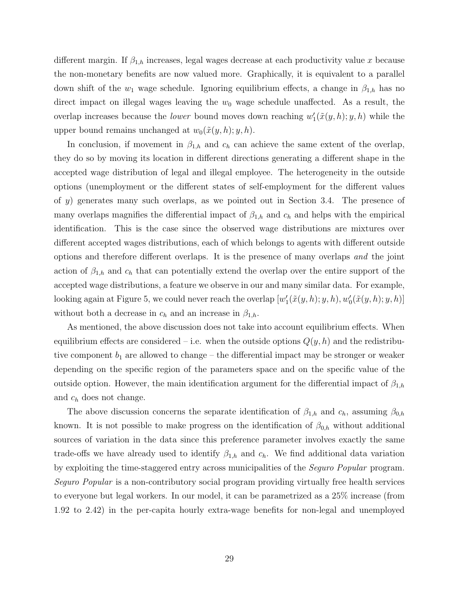different margin. If  $\beta_{1,h}$  increases, legal wages decrease at each productivity value x because the non-monetary benefits are now valued more. Graphically, it is equivalent to a parallel down shift of the  $w_1$  wage schedule. Ignoring equilibrium effects, a change in  $\beta_{1,h}$  has no direct impact on illegal wages leaving the  $w_0$  wage schedule unaffected. As a result, the overlap increases because the *lower* bound moves down reaching  $w'_{1}(\tilde{x}(y, h); y, h)$  while the upper bound remains unchanged at  $w_0(\tilde{x}(y, h); y, h)$ .

In conclusion, if movement in  $\beta_{1,h}$  and  $c_h$  can achieve the same extent of the overlap, they do so by moving its location in different directions generating a different shape in the accepted wage distribution of legal and illegal employee. The heterogeneity in the outside options (unemployment or the different states of self-employment for the different values of y) generates many such overlaps, as we pointed out in Section 3.4. The presence of many overlaps magnifies the differential impact of  $\beta_{1,h}$  and  $c_h$  and helps with the empirical identification. This is the case since the observed wage distributions are mixtures over different accepted wages distributions, each of which belongs to agents with different outside options and therefore different overlaps. It is the presence of many overlaps and the joint action of  $\beta_{1,h}$  and  $c_h$  that can potentially extend the overlap over the entire support of the accepted wage distributions, a feature we observe in our and many similar data. For example, looking again at Figure 5, we could never reach the overlap  $[w_1'(\tilde{x}(y,h); y, h), w_0'(\tilde{x}(y,h); y, h)]$ without both a decrease in  $c_h$  and an increase in  $\beta_{1,h}$ .

As mentioned, the above discussion does not take into account equilibrium effects. When equilibrium effects are considered – i.e. when the outside options  $Q(y, h)$  and the redistributive component  $b_1$  are allowed to change – the differential impact may be stronger or weaker depending on the specific region of the parameters space and on the specific value of the outside option. However, the main identification argument for the differential impact of  $\beta_{1,h}$ and  $c_h$  does not change.

The above discussion concerns the separate identification of  $\beta_{1,h}$  and  $c_h$ , assuming  $\beta_{0,h}$ known. It is not possible to make progress on the identification of  $\beta_{0,h}$  without additional sources of variation in the data since this preference parameter involves exactly the same trade-offs we have already used to identify  $\beta_{1,h}$  and  $c_h$ . We find additional data variation by exploiting the time-staggered entry across municipalities of the Seguro Popular program. Seguro Popular is a non-contributory social program providing virtually free health services to everyone but legal workers. In our model, it can be parametrized as a 25% increase (from 1.92 to 2.42) in the per-capita hourly extra-wage benefits for non-legal and unemployed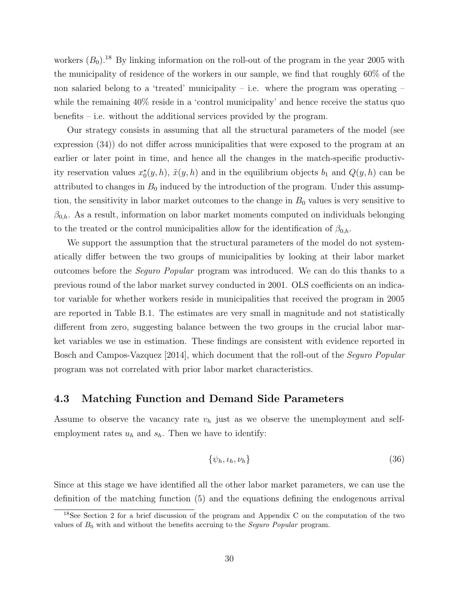workers  $(B_0)$ .<sup>18</sup> By linking information on the roll-out of the program in the year 2005 with the municipality of residence of the workers in our sample, we find that roughly 60% of the non salaried belong to a 'treated' municipality – i.e. where the program was operating  $$ while the remaining 40% reside in a 'control municipality' and hence receive the status quo benefits – i.e. without the additional services provided by the program.

Our strategy consists in assuming that all the structural parameters of the model (see expression (34)) do not differ across municipalities that were exposed to the program at an earlier or later point in time, and hence all the changes in the match-specific productivity reservation values  $x_0^*(y, h)$ ,  $\tilde{x}(y, h)$  and in the equilibrium objects  $b_1$  and  $Q(y, h)$  can be attributed to changes in  $B_0$  induced by the introduction of the program. Under this assumption, the sensitivity in labor market outcomes to the change in  $B_0$  values is very sensitive to  $\beta_{0,h}$ . As a result, information on labor market moments computed on individuals belonging to the treated or the control municipalities allow for the identification of  $\beta_{0,h}$ .

We support the assumption that the structural parameters of the model do not systematically differ between the two groups of municipalities by looking at their labor market outcomes before the Seguro Popular program was introduced. We can do this thanks to a previous round of the labor market survey conducted in 2001. OLS coefficients on an indicator variable for whether workers reside in municipalities that received the program in 2005 are reported in Table B.1. The estimates are very small in magnitude and not statistically different from zero, suggesting balance between the two groups in the crucial labor market variables we use in estimation. These findings are consistent with evidence reported in Bosch and Campos-Vazquez [2014], which document that the roll-out of the Seguro Popular program was not correlated with prior labor market characteristics.

### 4.3 Matching Function and Demand Side Parameters

Assume to observe the vacancy rate  $v_h$  just as we observe the unemployment and selfemployment rates  $u_h$  and  $s_h$ . Then we have to identify:

$$
\{\psi_h, \iota_h, \nu_h\} \tag{36}
$$

Since at this stage we have identified all the other labor market parameters, we can use the definition of the matching function (5) and the equations defining the endogenous arrival

<sup>18</sup>See Section 2 for a brief discussion of the program and Appendix C on the computation of the two values of  $B_0$  with and without the benefits accruing to the *Seguro Popular* program.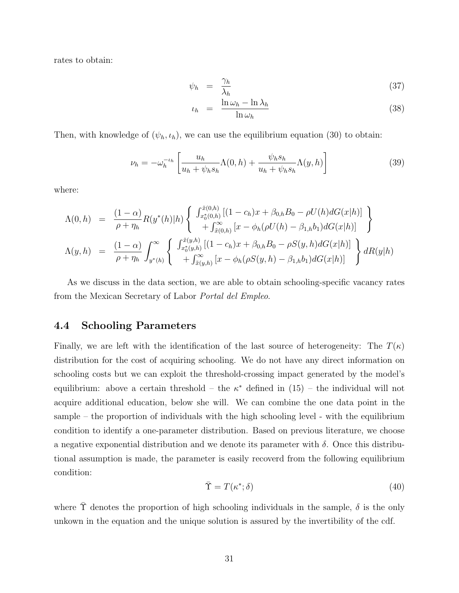rates to obtain:

$$
\psi_h = \frac{\gamma_h}{\lambda_h} \tag{37}
$$

$$
\iota_h = \frac{\ln \omega_h - \ln \lambda_h}{\ln \omega_h} \tag{38}
$$

Then, with knowledge of  $(\psi_h, \iota_h)$ , we can use the equilibrium equation (30) to obtain:

$$
\nu_h = -\omega_h^{-\iota_h} \left[ \frac{u_h}{u_h + \psi_h s_h} \Lambda(0, h) + \frac{\psi_h s_h}{u_h + \psi_h s_h} \Lambda(y, h) \right]
$$
(39)

where:

$$
\Lambda(0,h) = \frac{(1-\alpha)}{\rho + \eta_h} R(y^*(h)|h) \left\{ \begin{array}{l} \int_{x_0^*(0,h)}^{\tilde{x}(0,h)} [(1-c_h)x + \beta_{0,h}B_0 - \rho U(h) dG(x|h)] \\ + \int_{\tilde{x}(0,h)}^{\infty} [x - \phi_h(\rho U(h) - \beta_{1,h}b_1) dG(x|h)] \end{array} \right\}
$$
  

$$
\Lambda(y,h) = \frac{(1-\alpha)}{\rho + \eta_h} \int_{y^*(h)}^{\infty} \left\{ \begin{array}{l} \int_{x_0^*(y,h)}^{\tilde{x}(y,h)} [(1-c_h)x + \beta_{0,h}B_0 - \rho S(y,h) dG(x|h)] \\ + \int_{\tilde{x}(y,h)}^{\infty} [x - \phi_h(\rho S(y,h) - \beta_{1,h}b_1) dG(x|h)] \end{array} \right\} dR(y|h)
$$

As we discuss in the data section, we are able to obtain schooling-specific vacancy rates from the Mexican Secretary of Labor Portal del Empleo.

#### 4.4 Schooling Parameters

Finally, we are left with the identification of the last source of heterogeneity: The  $T(\kappa)$ distribution for the cost of acquiring schooling. We do not have any direct information on schooling costs but we can exploit the threshold-crossing impact generated by the model's equilibrium: above a certain threshold – the  $\kappa^*$  defined in  $(15)$  – the individual will not acquire additional education, below she will. We can combine the one data point in the sample – the proportion of individuals with the high schooling level - with the equilibrium condition to identify a one-parameter distribution. Based on previous literature, we choose a negative exponential distribution and we denote its parameter with  $\delta$ . Once this distributional assumption is made, the parameter is easily recoverd from the following equilibrium condition:

$$
\bar{\Upsilon} = T(\kappa^*; \delta) \tag{40}
$$

where  $\tilde{\Upsilon}$  denotes the proportion of high schooling individuals in the sample,  $\delta$  is the only unkown in the equation and the unique solution is assured by the invertibility of the cdf.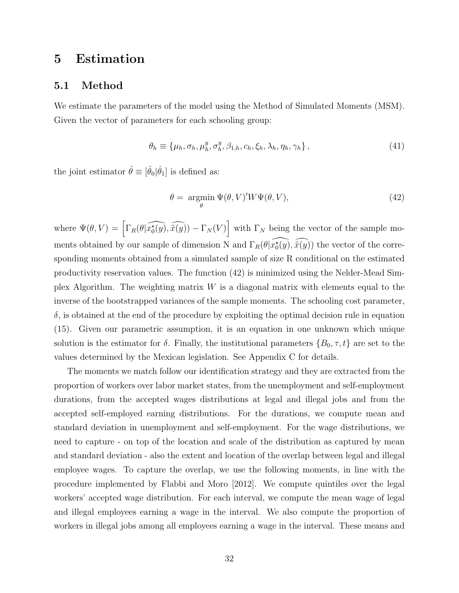# 5 Estimation

### 5.1 Method

We estimate the parameters of the model using the Method of Simulated Moments (MSM). Given the vector of parameters for each schooling group:

$$
\theta_h \equiv \{\mu_h, \sigma_h, \mu_h^y, \sigma_h^y, \beta_{1,h}, c_h, \xi_h, \lambda_h, \eta_h, \gamma_h\},\tag{41}
$$

the joint estimator  $\hat{\theta} \equiv [\hat{\theta}_0 | \hat{\theta}_1]$  is defined as:

$$
\theta = \underset{\theta}{\text{argmin}} \ \Psi(\theta, V)' W \Psi(\theta, V), \tag{42}
$$

where  $\Psi(\theta, V) = \left[ \Gamma_R(\theta | \widehat{x_0^*(y)}, \widehat{x(y)}) - \Gamma_N(V) \right]$  with  $\Gamma_N$  being the vector of the sample moments obtained by our sample of dimension N and  $\Gamma_R(\theta|\widehat{x_0^*(y)},\widehat{x(y)})$  the vector of the corresponding moments obtained from a simulated sample of size R conditional on the estimated productivity reservation values. The function (42) is minimized using the Nelder-Mead Simplex Algorithm. The weighting matrix  $W$  is a diagonal matrix with elements equal to the inverse of the bootstrapped variances of the sample moments. The schooling cost parameter,  $\delta$ , is obtained at the end of the procedure by exploiting the optimal decision rule in equation (15). Given our parametric assumption, it is an equation in one unknown which unique solution is the estimator for  $\delta$ . Finally, the institutional parameters  $\{B_0, \tau, t\}$  are set to the values determined by the Mexican legislation. See Appendix C for details.

The moments we match follow our identification strategy and they are extracted from the proportion of workers over labor market states, from the unemployment and self-employment durations, from the accepted wages distributions at legal and illegal jobs and from the accepted self-employed earning distributions. For the durations, we compute mean and standard deviation in unemployment and self-employment. For the wage distributions, we need to capture - on top of the location and scale of the distribution as captured by mean and standard deviation - also the extent and location of the overlap between legal and illegal employee wages. To capture the overlap, we use the following moments, in line with the procedure implemented by Flabbi and Moro [2012]. We compute quintiles over the legal workers' accepted wage distribution. For each interval, we compute the mean wage of legal and illegal employees earning a wage in the interval. We also compute the proportion of workers in illegal jobs among all employees earning a wage in the interval. These means and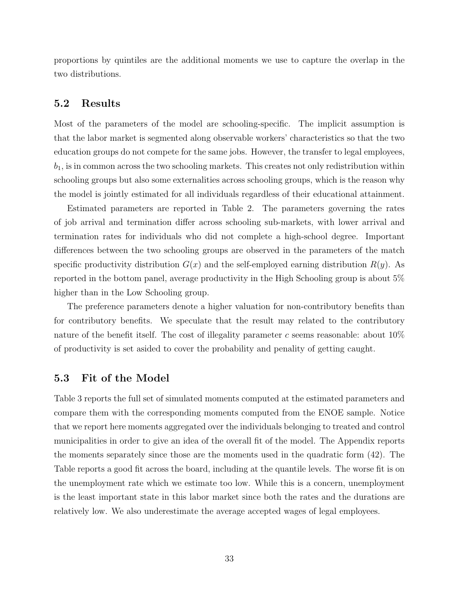proportions by quintiles are the additional moments we use to capture the overlap in the two distributions.

### 5.2 Results

Most of the parameters of the model are schooling-specific. The implicit assumption is that the labor market is segmented along observable workers' characteristics so that the two education groups do not compete for the same jobs. However, the transfer to legal employees,  $b<sub>1</sub>$ , is in common across the two schooling markets. This creates not only redistribution within schooling groups but also some externalities across schooling groups, which is the reason why the model is jointly estimated for all individuals regardless of their educational attainment.

Estimated parameters are reported in Table 2. The parameters governing the rates of job arrival and termination differ across schooling sub-markets, with lower arrival and termination rates for individuals who did not complete a high-school degree. Important differences between the two schooling groups are observed in the parameters of the match specific productivity distribution  $G(x)$  and the self-employed earning distribution  $R(y)$ . As reported in the bottom panel, average productivity in the High Schooling group is about 5% higher than in the Low Schooling group.

The preference parameters denote a higher valuation for non-contributory benefits than for contributory benefits. We speculate that the result may related to the contributory nature of the benefit itself. The cost of illegality parameter c seems reasonable: about  $10\%$ of productivity is set asided to cover the probability and penality of getting caught.

### 5.3 Fit of the Model

Table 3 reports the full set of simulated moments computed at the estimated parameters and compare them with the corresponding moments computed from the ENOE sample. Notice that we report here moments aggregated over the individuals belonging to treated and control municipalities in order to give an idea of the overall fit of the model. The Appendix reports the moments separately since those are the moments used in the quadratic form (42). The Table reports a good fit across the board, including at the quantile levels. The worse fit is on the unemployment rate which we estimate too low. While this is a concern, unemployment is the least important state in this labor market since both the rates and the durations are relatively low. We also underestimate the average accepted wages of legal employees.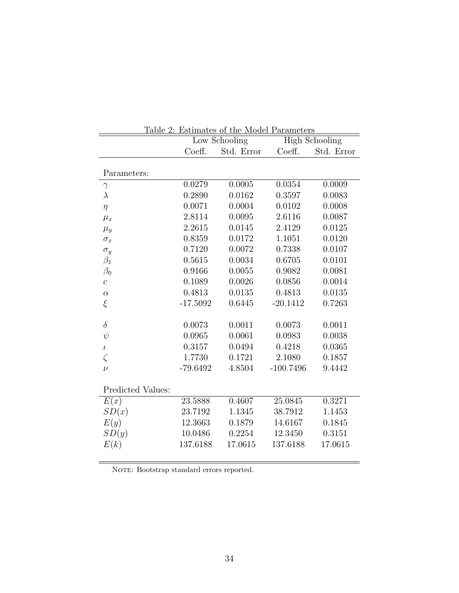| Table 2: Estimates of the Model Parameters |            |                                        |             |            |  |  |  |  |
|--------------------------------------------|------------|----------------------------------------|-------------|------------|--|--|--|--|
|                                            |            | <b>High Schooling</b><br>Low Schooling |             |            |  |  |  |  |
|                                            | Coeff.     | Std. Error                             | Coeff.      | Std. Error |  |  |  |  |
| Parameters:                                |            |                                        |             |            |  |  |  |  |
| $\gamma$                                   | 0.0279     | 0.0005                                 | 0.0354      | 0.0009     |  |  |  |  |
| $\lambda$                                  | 0.2890     | 0.0162                                 | 0.3597      | 0.0083     |  |  |  |  |
| $\eta$                                     | 0.0071     | 0.0004                                 | 0.0102      | 0.0008     |  |  |  |  |
| $\mu_x$                                    | 2.8114     | 0.0095                                 | 2.6116      | 0.0087     |  |  |  |  |
| $\mu_y$                                    | 2.2615     | 0.0145                                 | 2.4129      | 0.0125     |  |  |  |  |
| $\sigma_x$                                 | 0.8359     | 0.0172                                 | 1.1051      | 0.0120     |  |  |  |  |
| $\sigma_y$                                 | 0.7120     | 0.0072                                 | 0.7338      | 0.0107     |  |  |  |  |
| $\beta_1$                                  | 0.5615     | 0.0034                                 | 0.6705      | 0.0101     |  |  |  |  |
| $\beta_0$                                  | 0.9166     | 0.0055                                 | 0.9082      | 0.0081     |  |  |  |  |
| $\overline{c}$                             | 0.1089     | 0.0026                                 | 0.0856      | 0.0014     |  |  |  |  |
| $\alpha$                                   | 0.4813     | 0.0135                                 | 0.4813      | 0.0135     |  |  |  |  |
| $\xi$                                      | $-17.5092$ | 0.6445                                 | $-20.1412$  | 0.7263     |  |  |  |  |
| $\delta$                                   | 0.0073     | 0.0011                                 | 0.0073      | 0.0011     |  |  |  |  |
| $\psi$                                     | 0.0965     | 0.0061                                 | 0.0983      | 0.0038     |  |  |  |  |
| $\iota$                                    | 0.3157     | 0.0494                                 | 0.4218      | 0.0365     |  |  |  |  |
| $\zeta$                                    | 1.7730     | 0.1721                                 | 2.1080      | 0.1857     |  |  |  |  |
| $\nu$                                      | $-79.6492$ | 4.8504                                 | $-100.7496$ | 9.4442     |  |  |  |  |
| Predicted Values:                          |            |                                        |             |            |  |  |  |  |
| E(x)                                       | 23.5888    | 0.4607                                 | 25.0845     | 0.3271     |  |  |  |  |
| SD(x)                                      | 23.7192    | 1.1345                                 | 38.7912     | 1.1453     |  |  |  |  |
| E(y)                                       | 12.3663    | 0.1879                                 | 14.6167     | 0.1845     |  |  |  |  |
| SD(y)                                      | 10.0486    | 0.2254                                 | 12.3450     | 0.3151     |  |  |  |  |
| E(k)                                       | 137.6188   | 17.0615                                | 137.6188    | 17.0615    |  |  |  |  |

NOTE: Bootstrap standard errors reported.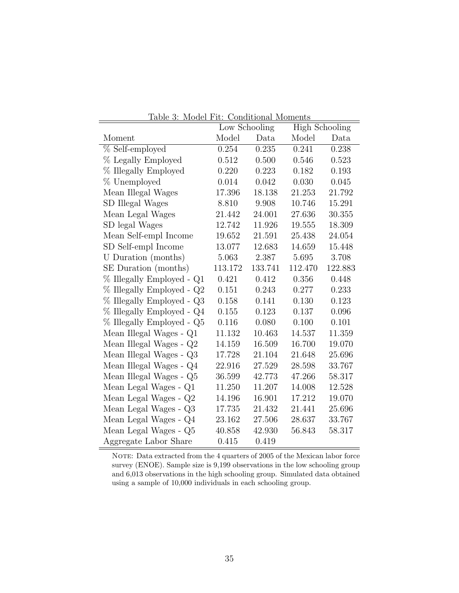| <u>rable 5: Model FIU: Conditional Moments</u><br><b>High Schooling</b><br>Low Schooling |         |         |         |         |  |  |  |  |
|------------------------------------------------------------------------------------------|---------|---------|---------|---------|--|--|--|--|
| Moment                                                                                   | Model   | Data    | Model   | Data    |  |  |  |  |
| % Self-employed                                                                          | 0.254   | 0.235   | 0.241   | 0.238   |  |  |  |  |
| % Legally Employed                                                                       | 0.512   | 0.500   | 0.546   | 0.523   |  |  |  |  |
| % Illegally Employed                                                                     | 0.220   | 0.223   | 0.182   | 0.193   |  |  |  |  |
| % Unemployed                                                                             | 0.014   | 0.042   | 0.030   | 0.045   |  |  |  |  |
| Mean Illegal Wages                                                                       | 17.396  | 18.138  | 21.253  | 21.792  |  |  |  |  |
| SD Illegal Wages                                                                         | 8.810   | 9.908   | 10.746  | 15.291  |  |  |  |  |
| Mean Legal Wages                                                                         | 21.442  | 24.001  | 27.636  | 30.355  |  |  |  |  |
| SD legal Wages                                                                           | 12.742  | 11.926  | 19.555  | 18.309  |  |  |  |  |
| Mean Self-empl Income                                                                    | 19.652  | 21.591  | 25.438  | 24.054  |  |  |  |  |
| SD Self-empl Income                                                                      | 13.077  | 12.683  | 14.659  | 15.448  |  |  |  |  |
| U Duration (months)                                                                      | 5.063   | 2.387   | 5.695   | 3.708   |  |  |  |  |
| SE Duration (months)                                                                     | 113.172 | 133.741 | 112.470 | 122.883 |  |  |  |  |
| % Illegally Employed - Q1                                                                | 0.421   | 0.412   | 0.356   | 0.448   |  |  |  |  |
| % Illegally Employed - Q2                                                                | 0.151   | 0.243   | 0.277   | 0.233   |  |  |  |  |
| % Illegally Employed - Q3                                                                | 0.158   | 0.141   | 0.130   | 0.123   |  |  |  |  |
| % Illegally Employed - Q4                                                                | 0.155   | 0.123   | 0.137   | 0.096   |  |  |  |  |
| % Illegally Employed - Q5                                                                | 0.116   | 0.080   | 0.100   | 0.101   |  |  |  |  |
| Mean Illegal Wages - Q1                                                                  | 11.132  | 10.463  | 14.537  | 11.359  |  |  |  |  |
| Mean Illegal Wages - Q2                                                                  | 14.159  | 16.509  | 16.700  | 19.070  |  |  |  |  |
| Mean Illegal Wages - Q3                                                                  | 17.728  | 21.104  | 21.648  | 25.696  |  |  |  |  |
| Mean Illegal Wages - $\mathrm{Q}4$                                                       | 22.916  | 27.529  | 28.598  | 33.767  |  |  |  |  |
| Mean Illegal Wages - Q5                                                                  | 36.599  | 42.773  | 47.266  | 58.317  |  |  |  |  |
| Mean Legal Wages - Q1                                                                    | 11.250  | 11.207  | 14.008  | 12.528  |  |  |  |  |
| Mean Legal Wages - $\mathrm{Q}2$                                                         | 14.196  | 16.901  | 17.212  | 19.070  |  |  |  |  |
| Mean Legal Wages - Q3                                                                    | 17.735  | 21.432  | 21.441  | 25.696  |  |  |  |  |
| Mean Legal Wages - Q4                                                                    | 23.162  | 27.506  | 28.637  | 33.767  |  |  |  |  |
| Mean Legal Wages - Q5                                                                    | 40.858  | 42.930  | 56.843  | 58.317  |  |  |  |  |
| Aggregate Labor Share                                                                    | 0.415   | 0.419   |         |         |  |  |  |  |

Table 3: Model Fit: Conditional Moments

NOTE: Data extracted from the 4 quarters of 2005 of the Mexican labor force survey (ENOE). Sample size is 9,199 observations in the low schooling group and 6,013 observations in the high schooling group. Simulated data obtained using a sample of 10,000 individuals in each schooling group.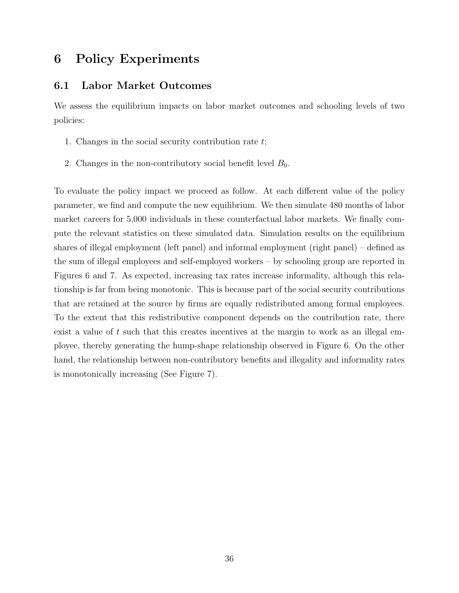# 6 Policy Experiments

### 6.1 Labor Market Outcomes

We assess the equilibrium impacts on labor market outcomes and schooling levels of two policies:

- 1. Changes in the social security contribution rate t;
- 2. Changes in the non-contributory social benefit level  $B_0$ .

To evaluate the policy impact we proceed as follow. At each different value of the policy parameter, we find and compute the new equilibrium. We then simulate 480 months of labor market careers for 5,000 individuals in these counterfactual labor markets. We finally compute the relevant statistics on these simulated data. Simulation results on the equilibrium shares of illegal employment (left panel) and informal employment (right panel) – defined as the sum of illegal employees and self-employed workers – by schooling group are reported in Figures 6 and 7. As expected, increasing tax rates increase informality, although this relationship is far from being monotonic. This is because part of the social security contributions that are retained at the source by firms are equally redistributed among formal employees. To the extent that this redistributive component depends on the contribution rate, there exist a value of  $t$  such that this creates incentives at the margin to work as an illegal employee, thereby generating the hump-shape relationship observed in Figure 6. On the other hand, the relationship between non-contributory benefits and illegality and informality rates is monotonically increasing (See Figure 7).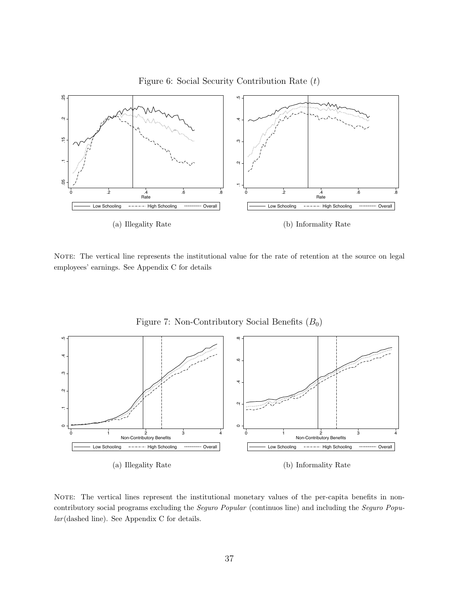

NOTE: The vertical line represents the institutional value for the rate of retention at the source on legal employees' earnings. See Appendix C for details



Figure 7: Non-Contributory Social Benefits  $(B_0)$ 

(a) Illegality Rate

(b) Informality Rate

NOTE: The vertical lines represent the institutional monetary values of the per-capita benefits in noncontributory social programs excluding the Seguro Popular (continuos line) and including the Seguro Popular (dashed line). See Appendix C for details.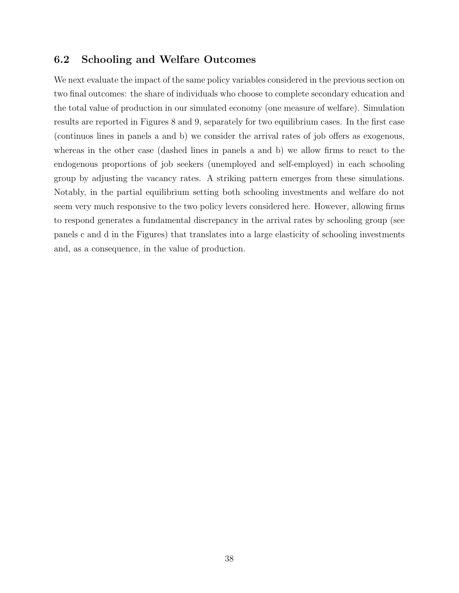# 6.2 Schooling and Welfare Outcomes

We next evaluate the impact of the same policy variables considered in the previous section on two final outcomes: the share of individuals who choose to complete secondary education and the total value of production in our simulated economy (one measure of welfare). Simulation results are reported in Figures 8 and 9, separately for two equilibrium cases. In the first case (continuos lines in panels a and b) we consider the arrival rates of job offers as exogenous, whereas in the other case (dashed lines in panels a and b) we allow firms to react to the endogenous proportions of job seekers (unemployed and self-employed) in each schooling group by adjusting the vacancy rates. A striking pattern emerges from these simulations. Notably, in the partial equilibrium setting both schooling investments and welfare do not seem very much responsive to the two policy levers considered here. However, allowing firms to respond generates a fundamental discrepancy in the arrival rates by schooling group (see panels c and d in the Figures) that translates into a large elasticity of schooling investments and, as a consequence, in the value of production.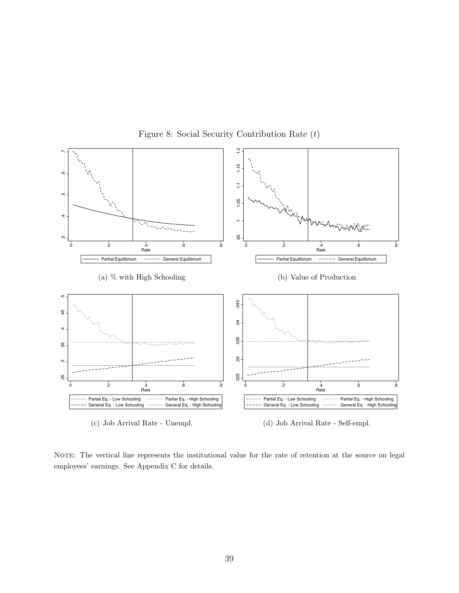

Figure 8: Social Security Contribution Rate (t)

NOTE: The vertical line represents the institutional value for the rate of retention at the source on legal employees' earnings. See Appendix C for details.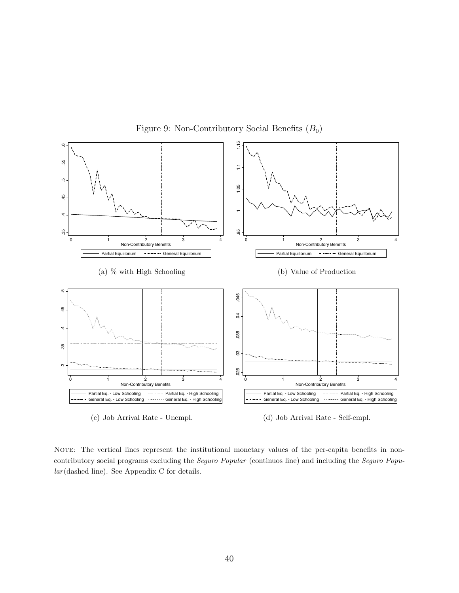

Figure 9: Non-Contributory Social Benefits  $(B_0)$ 

NOTE: The vertical lines represent the institutional monetary values of the per-capita benefits in noncontributory social programs excluding the Seguro Popular (continuos line) and including the Seguro Popular (dashed line). See Appendix C for details.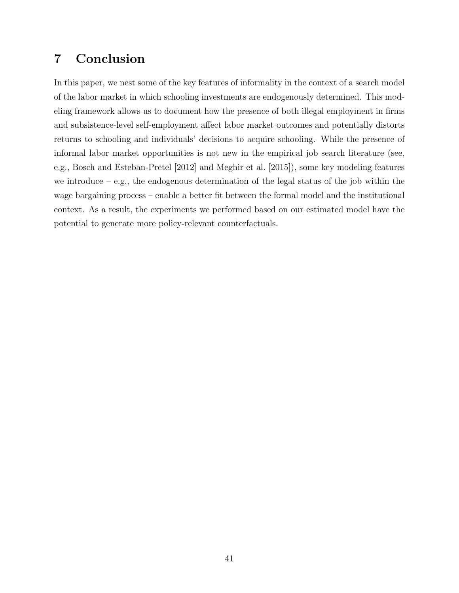# 7 Conclusion

In this paper, we nest some of the key features of informality in the context of a search model of the labor market in which schooling investments are endogenously determined. This modeling framework allows us to document how the presence of both illegal employment in firms and subsistence-level self-employment affect labor market outcomes and potentially distorts returns to schooling and individuals' decisions to acquire schooling. While the presence of informal labor market opportunities is not new in the empirical job search literature (see, e.g., Bosch and Esteban-Pretel [2012] and Meghir et al. [2015]), some key modeling features we introduce – e.g., the endogenous determination of the legal status of the job within the wage bargaining process – enable a better fit between the formal model and the institutional context. As a result, the experiments we performed based on our estimated model have the potential to generate more policy-relevant counterfactuals.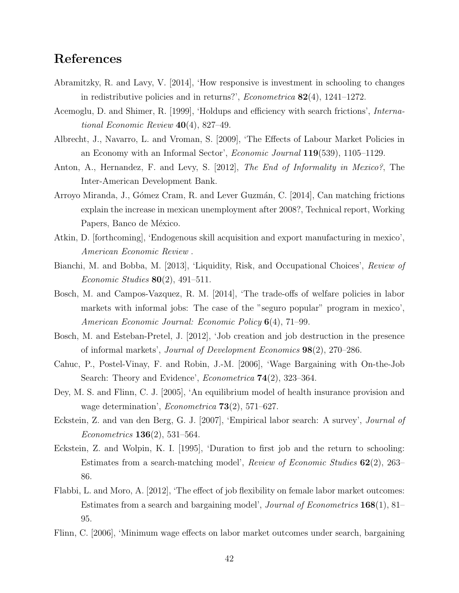# References

- Abramitzky, R. and Lavy, V. [2014], 'How responsive is investment in schooling to changes in redistributive policies and in returns?', *Econometrica*  $82(4)$ , 1241–1272.
- Acemoglu, D. and Shimer, R. [1999], 'Holdups and efficiency with search frictions', International Economic Review  $40(4)$ , 827–49.
- Albrecht, J., Navarro, L. and Vroman, S. [2009], 'The Effects of Labour Market Policies in an Economy with an Informal Sector', Economic Journal 119(539), 1105–1129.
- Anton, A., Hernandez, F. and Levy, S. [2012], The End of Informality in Mexico?, The Inter-American Development Bank.
- Arroyo Miranda, J., Gómez Cram, R. and Lever Guzmán, C. [2014], Can matching frictions explain the increase in mexican unemployment after 2008?, Technical report, Working Papers, Banco de México.
- Atkin, D. [forthcoming], 'Endogenous skill acquisition and export manufacturing in mexico', American Economic Review .
- Bianchi, M. and Bobba, M. [2013], 'Liquidity, Risk, and Occupational Choices', Review of Economic Studies  $80(2)$ , 491–511.
- Bosch, M. and Campos-Vazquez, R. M. [2014], 'The trade-offs of welfare policies in labor markets with informal jobs: The case of the "seguro popular" program in mexico', American Economic Journal: Economic Policy 6(4), 71–99.
- Bosch, M. and Esteban-Pretel, J. [2012], 'Job creation and job destruction in the presence of informal markets', Journal of Development Economics 98(2), 270–286.
- Cahuc, P., Postel-Vinay, F. and Robin, J.-M. [2006], 'Wage Bargaining with On-the-Job Search: Theory and Evidence', *Econometrica* **74**(2), 323–364.
- Dey, M. S. and Flinn, C. J. [2005], 'An equilibrium model of health insurance provision and wage determination', *Econometrica*  $73(2)$ , 571–627.
- Eckstein, Z. and van den Berg, G. J. [2007], 'Empirical labor search: A survey', Journal of Econometrics 136(2), 531–564.
- Eckstein, Z. and Wolpin, K. I. [1995], 'Duration to first job and the return to schooling: Estimates from a search-matching model', Review of Economic Studies 62(2), 263– 86.
- Flabbi, L. and Moro, A. [2012], 'The effect of job flexibility on female labor market outcomes: Estimates from a search and bargaining model', *Journal of Econometrics*  $168(1)$ ,  $81-$ 95.
- Flinn, C. [2006], 'Minimum wage effects on labor market outcomes under search, bargaining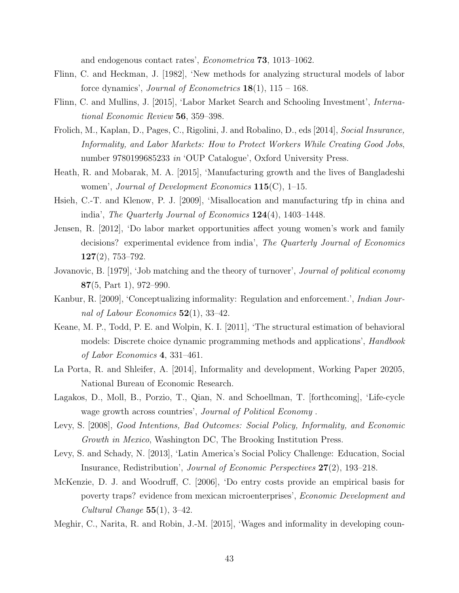and endogenous contact rates', Econometrica 73, 1013–1062.

- Flinn, C. and Heckman, J. [1982], 'New methods for analyzing structural models of labor force dynamics', *Journal of Econometrics*  $18(1)$ ,  $115 - 168$ .
- Flinn, C. and Mullins, J. [2015], 'Labor Market Search and Schooling Investment', International Economic Review 56, 359–398.
- Frolich, M., Kaplan, D., Pages, C., Rigolini, J. and Robalino, D., eds [2014], Social Insurance, Informality, and Labor Markets: How to Protect Workers While Creating Good Jobs, number 9780199685233 in 'OUP Catalogue', Oxford University Press.
- Heath, R. and Mobarak, M. A. [2015], 'Manufacturing growth and the lives of Bangladeshi women', Journal of Development Economics  $115(C)$ , 1–15.
- Hsieh, C.-T. and Klenow, P. J. [2009], 'Misallocation and manufacturing tfp in china and india', The Quarterly Journal of Economics 124(4), 1403–1448.
- Jensen, R. [2012], 'Do labor market opportunities affect young women's work and family decisions? experimental evidence from india', The Quarterly Journal of Economics 127(2), 753–792.
- Jovanovic, B. [1979], 'Job matching and the theory of turnover', *Journal of political economy* 87(5, Part 1), 972–990.
- Kanbur, R. [2009], 'Conceptualizing informality: Regulation and enforcement.', Indian Journal of Labour Economics  $52(1)$ , 33-42.
- Keane, M. P., Todd, P. E. and Wolpin, K. I. [2011], 'The structural estimation of behavioral models: Discrete choice dynamic programming methods and applications', *Handbook* of Labor Economics 4, 331–461.
- La Porta, R. and Shleifer, A. [2014], Informality and development, Working Paper 20205, National Bureau of Economic Research.
- Lagakos, D., Moll, B., Porzio, T., Qian, N. and Schoellman, T. [forthcoming], 'Life-cycle wage growth across countries', *Journal of Political Economy*.
- Levy, S. [2008], Good Intentions, Bad Outcomes: Social Policy, Informality, and Economic Growth in Mexico, Washington DC, The Brooking Institution Press.
- Levy, S. and Schady, N. [2013], 'Latin America's Social Policy Challenge: Education, Social Insurance, Redistribution', Journal of Economic Perspectives 27(2), 193–218.
- McKenzie, D. J. and Woodruff, C. [2006], 'Do entry costs provide an empirical basis for poverty traps? evidence from mexican microenterprises', Economic Development and Cultural Change 55(1), 3–42.
- Meghir, C., Narita, R. and Robin, J.-M. [2015], 'Wages and informality in developing coun-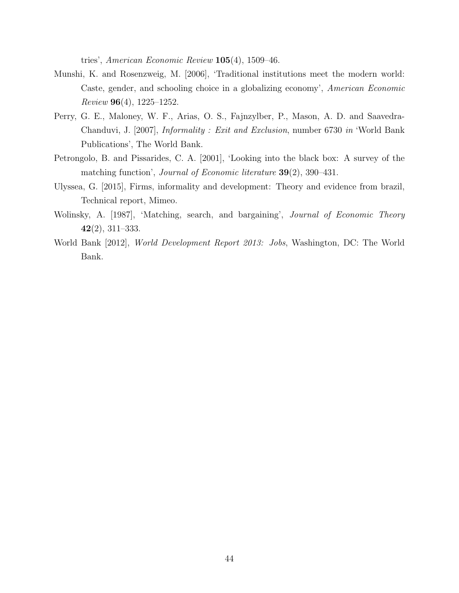tries', American Economic Review 105(4), 1509–46.

- Munshi, K. and Rosenzweig, M. [2006], 'Traditional institutions meet the modern world: Caste, gender, and schooling choice in a globalizing economy', American Economic  $Review 96(4), 1225-1252.$
- Perry, G. E., Maloney, W. F., Arias, O. S., Fajnzylber, P., Mason, A. D. and Saavedra-Chanduvi, J. [2007], Informality : Exit and Exclusion, number 6730 in 'World Bank Publications', The World Bank.
- Petrongolo, B. and Pissarides, C. A. [2001], 'Looking into the black box: A survey of the matching function', Journal of Economic literature 39(2), 390–431.
- Ulyssea, G. [2015], Firms, informality and development: Theory and evidence from brazil, Technical report, Mimeo.
- Wolinsky, A. [1987], 'Matching, search, and bargaining', Journal of Economic Theory 42(2), 311–333.
- World Bank [2012], World Development Report 2013: Jobs, Washington, DC: The World Bank.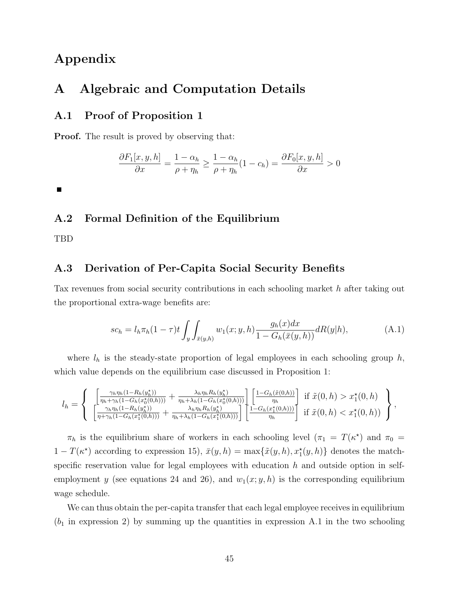# Appendix

# A Algebraic and Computation Details

# A.1 Proof of Proposition 1

**Proof.** The result is proved by observing that:

$$
\frac{\partial F_1[x, y, h]}{\partial x} = \frac{1 - \alpha_h}{\rho + \eta_h} \ge \frac{1 - \alpha_h}{\rho + \eta_h} (1 - c_h) = \frac{\partial F_0[x, y, h]}{\partial x} > 0
$$

 $\blacksquare$ 

### A.2 Formal Definition of the Equilibrium

TBD

### A.3 Derivation of Per-Capita Social Security Benefits

Tax revenues from social security contributions in each schooling market h after taking out the proportional extra-wage benefits are:

$$
sc_h = l_h \pi_h (1 - \tau) t \int_y \int_{\bar{x}(y,h)} w_1(x; y, h) \frac{g_h(x) dx}{1 - G_h(\bar{x}(y,h))} dR(y|h), \tag{A.1}
$$

where  $l_h$  is the steady-state proportion of legal employees in each schooling group h, which value depends on the equilibrium case discussed in Proposition 1:

$$
l_{h} = \left\{\begin{array}{c} \left[\frac{\gamma_{h}\eta_{h}(1-R_{h}(y_{h}^{*}))}{\eta_{h}+\gamma_{h}(1-G_{h}(x_{0}^{*}(0,h)))} + \frac{\lambda_{h}\eta_{h}R_{h}(y_{h}^{*})}{\eta_{h}+\lambda_{h}(1-G_{h}(x_{0}^{*}(0,h)))}\right] \left[\frac{1-G_{h}(\tilde{x}(0,h))}{\eta_{h}}\right] & \text{if } \tilde{x}(0,h) > x_{1}^{*}(0,h) \\ \left[\frac{\gamma_{h}\eta_{h}(1-R_{h}(y_{h}^{*}))}{\eta+\gamma_{h}(1-G_{h}(x_{1}^{*}(0,h)))} + \frac{\lambda_{h}\eta_{h}R_{h}(y_{h}^{*})}{\eta_{h}+\lambda_{h}(1-G_{h}(x_{1}^{*}(0,h)))}\right] & \text{if } \tilde{x}(0,h) < x_{1}^{*}(0,h) \end{array}\right\},
$$

 $\pi_h$  is the equilibrium share of workers in each schooling level  $(\pi_1 = T(\kappa^*)$  and  $\pi_0 =$  $1-T(\kappa^*)$  according to expression 15),  $\bar{x}(y,h) = \max{\{\tilde{x}(y,h), x_1^*(y,h)\}}$  denotes the matchspecific reservation value for legal employees with education  $h$  and outside option in selfemployment y (see equations 24 and 26), and  $w_1(x; y, h)$  is the corresponding equilibrium wage schedule.

We can thus obtain the per-capita transfer that each legal employee receives in equilibrium  $(b_1$  in expression 2) by summing up the quantities in expression A.1 in the two schooling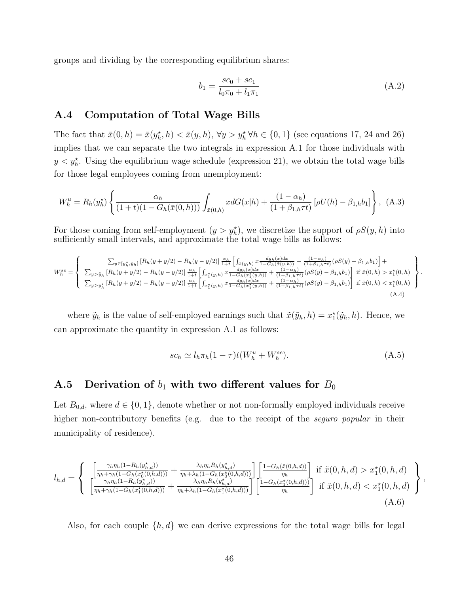groups and dividing by the corresponding equilibrium shares:

$$
b_1 = \frac{sc_0 + sc_1}{l_0 \pi_0 + l_1 \pi_1} \tag{A.2}
$$

### A.4 Computation of Total Wage Bills

The fact that  $\bar{x}(0, h) = \bar{x}(y_h^*, h) < \bar{x}(y, h)$ ,  $\forall y > y_h^* \forall h \in \{0, 1\}$  (see equations 17, 24 and 26) implies that we can separate the two integrals in expression A.1 for those individuals with  $y < y_h^*$ . Using the equilibrium wage schedule (expression 21), we obtain the total wage bills for those legal employees coming from unemployment:

$$
W_h^u = R_h(y_h^*) \left\{ \frac{\alpha_h}{(1+t)(1 - G_h(\bar{x}(0,h)))} \int_{\bar{x}(0,h)} x dG(x|h) + \frac{(1 - \alpha_h)}{(1 + \beta_{1,h} \tau t)} \left[ \rho U(h) - \beta_{1,h} b_1 \right] \right\}, \tag{A.3}
$$

For those coming from self-employment  $(y > y_h^{\star})$ , we discretize the support of  $\rho S(y, h)$  into sufficiently small intervals, and approximate the total wage bills as follows:

$$
W_{h}^{se} = \begin{cases} \sum_{y \in [y_{h}^{*}, \tilde{y}_{h}]} \left[ R_{h}(y + y/2) - R_{h}(y - y/2) \right] \frac{\alpha_{h}}{1+t} \left[ \int_{\tilde{x}(y,h)} x \frac{dg_{h}(x)dx}{1 - G_{h}(\tilde{x}(y,h))} + \frac{(1 - \alpha_{h})}{(1 + \beta_{1,h} \tau t)} (\rho S(y) - \beta_{1,h} b_{1}) \right] + \\ \sum_{y > \tilde{y}_{h}} \left[ R_{h}(y + y/2) - R_{h}(y - y/2) \right] \frac{\alpha_{h}}{1+t} \left[ \int_{x_{1}^{*}(y,h)} x \frac{dg_{h}(x)dx}{1 - G_{h}(\tilde{x}_{1}^{*}(y,h))} + \frac{(1 - \alpha_{h})}{(1 + \beta_{1,h} \tau t)} (\rho S(y) - \beta_{1,h} b_{1}) \right] \text{ if } \tilde{x}(0,h) > x_{1}^{*}(0,h) \\ \sum_{y > y_{h}^{*}} \left[ R_{h}(y + y/2) - R_{h}(y - y/2) \right] \frac{\alpha_{h}}{1+t} \left[ \int_{x_{1}^{*}(y,h)} x \frac{dg_{h}(x)dx}{1 - G_{h}(\tilde{x}_{1}^{*}(y,h))} + \frac{(1 - \alpha_{h})}{(1 + \beta_{1,h} \tau t)} (\rho S(y) - \beta_{1,h} b_{1}) \right] \text{ if } \tilde{x}(0,h) < x_{1}^{*}(0,h) \end{cases}
$$
\n(A.4)

where  $\tilde{y}_h$  is the value of self-employed earnings such that  $\tilde{x}(\tilde{y}_h, h) = x_1^{\star}(\tilde{y}_h, h)$ . Hence, we can approximate the quantity in expression A.1 as follows:

$$
sc_h \simeq l_h \pi_h (1 - \tau) t (W_h^u + W_h^{se}). \tag{A.5}
$$

.

# A.5 Derivation of  $b_1$  with two different values for  $B_0$

Let  $B_{0,d}$ , where  $d \in \{0,1\}$ , denote whether or not non-formally employed individuals receive higher non-contributory benefits (e.g. due to the receipt of the *seguro popular* in their municipality of residence).

$$
l_{h,d} = \begin{cases} \begin{array}{c} \left[ \frac{\gamma_h \eta_h (1 - R_h(y_{h,d}^{\star}))}{\eta_h + \gamma_h (1 - G_h(x_0^{\star}(0,h,d)))} + \frac{\lambda_h \eta_h R_h(y_{h,d}^{\star})}{\eta_h + \lambda_h (1 - G_h(x_0^{\star}(0,h,d)))} \right] \left[ \frac{1 - G_h(\tilde{x}(0,h,d))}{\eta_h} \right] & \text{if } \tilde{x}(0,h,d) > x_1^{\star}(0,h,d) \\ \frac{\gamma_h \eta_h (1 - R_h(y_{h,d}^{\star}))}{\eta_h + \gamma_h (1 - G_h(x_1^{\star}(0,h,d)))} + \frac{\lambda_h \eta_h R_h(y_{h,d}^{\star})}{\eta_h + \lambda_h (1 - G_h(x_1^{\star}(0,h,d)))} \right] \left[ \frac{1 - G_h(x_1^{\star}(0,h,d)))}{\eta_h} \right] & \text{if } \tilde{x}(0,h,d) < x_1^{\star}(0,h,d) \end{array} \end{cases},
$$
\n(A.6)

Also, for each couple  $\{h, d\}$  we can derive expressions for the total wage bills for legal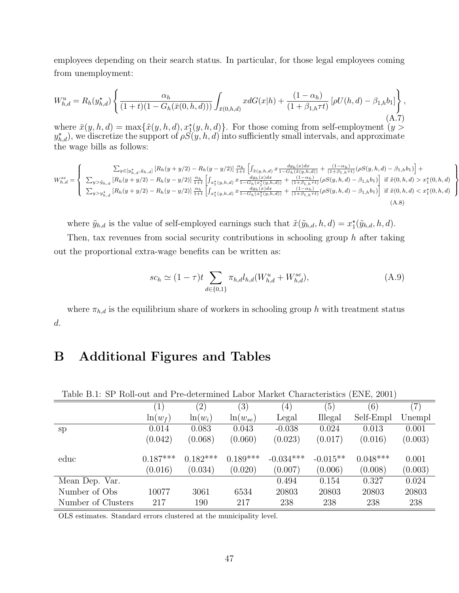employees depending on their search status. In particular, for those legal employees coming from unemployment:

$$
W_{h,d}^{u} = R_h(y_{h,d}^{\star}) \left\{ \frac{\alpha_h}{(1+t)(1 - G_h(\bar{x}(0,h,d)))} \int_{\bar{x}(0,h,d)} x dG(x|h) + \frac{(1 - \alpha_h)}{(1 + \beta_{1,h}\tau t)} \left[ \rho U(h,d) - \beta_{1,h} b_1 \right] \right\},\tag{A.7}
$$

where  $\bar{x}(y, h, d) = \max{\{\tilde{x}(y, h, d), x_1^*(y, h, d)\}}$ . For those coming from self-employment  $(y >$  $(y_{h,d}^{\star})$ , we discretize the support of  $\rho S(y, h, d)$  into sufficiently small intervals, and approximate the wage bills as follows:

$$
W_{h,d}^{se} = \begin{cases} \sum_{y \in [y_{h,d}^{\star}, \tilde{y}_{h,d}]} \left[ R_h(y + y/2) - R_h(y - y/2) \right] \frac{\alpha_h}{1+t} \left[ \int_{\tilde{x}(y,h,d)} x \frac{dg_h(x)dx}{1 - G_h(\tilde{x}(y,h,d))} + \frac{(1 - \alpha_h)}{(1 + \beta_{1,h} \tau t)} (\rho S(y,h,d) - \beta_{1,h} b_1) \right] + \sum_{y > \tilde{y}_{h,d}} \left[ R_h(y + y/2) - R_h(y - y/2) \right] \frac{\alpha_h}{1+t} \left[ \int_{x_1^{\star}(y,h,d)} x \frac{dg_h(x)dx}{1 - G_h(x_1^{\star}(y,h,d))} + \frac{(1 - \alpha_h)}{(1 + \beta_{1,h} \tau t)} (\rho S(y,h,d) - \beta_{1,h} b_1) \right] & \text{if } \tilde{x}(0,h,d) > x_1^{\star}(0,h,d) \end{cases}
$$
  

$$
\sum_{y > y_{h,d}^{\star}} \left[ R_h(y + y/2) - R_h(y - y/2) \right] \frac{\alpha_h}{1+t} \left[ \int_{x_1^{\star}(y,h,d)} x \frac{dg_h(x)dx}{1 - G_h(x_1^{\star}(y,h,d))} + \frac{(1 - \alpha_h)}{(1 + \beta_{1,h} \tau t)} (\rho S(y,h,d) - \beta_{1,h} b_1) \right] & \text{if } \tilde{x}(0,h,d) < x_1^{\star}(0,h,d) \end{cases}
$$
  
(A.8)

where  $\tilde{y}_{h,d}$  is the value of self-employed earnings such that  $\tilde{x}(\tilde{y}_{h,d}, h, d) = x_1^*(\tilde{y}_{h,d}, h, d)$ .

Then, tax revenues from social security contributions in schooling group  $h$  after taking out the proportional extra-wage benefits can be written as:

$$
sc_h \simeq (1 - \tau)t \sum_{d \in \{0, 1\}} \pi_{h,d} l_{h,d}(W_{h,d}^u + W_{h,d}^{se}),
$$
\n(A.9)

 $\lambda$  $\overline{\mathcal{L}}$ 

 $\int$ 

where  $\pi_{h,d}$  is the equilibrium share of workers in schooling group h with treatment status d.

# B Additional Figures and Tables

| Table B.1: SP Roll-out and Pre-determined Labor Market Characteristics (ENE, 2001) |                   |                   |              |             |            |            |                   |
|------------------------------------------------------------------------------------|-------------------|-------------------|--------------|-------------|------------|------------|-------------------|
|                                                                                    | $\left( 1\right)$ | $\left( 2\right)$ | (3)          | (4)         | (5)        | (6)        | $\left( 7\right)$ |
|                                                                                    | $\ln(w_f)$        | $ln(w_i)$         | $ln(w_{se})$ | Legal       | Illegal    | Self-Empl  | Unempl            |
| sp                                                                                 | 0.014             | 0.083             | 0.043        | $-0.038$    | 0.024      | 0.013      | 0.001             |
|                                                                                    | (0.042)           | (0.068)           | (0.060)      | (0.023)     | (0.017)    | (0.016)    | (0.003)           |
|                                                                                    |                   |                   |              |             |            |            |                   |
| educ                                                                               | $0.187***$        | $0.182***$        | $0.189***$   | $-0.034***$ | $-0.015**$ | $0.048***$ | 0.001             |
|                                                                                    | (0.016)           | (0.034)           | (0.020)      | (0.007)     | (0.006)    | (0.008)    | (0.003)           |
| Mean Dep. Var.                                                                     |                   |                   |              | 0.494       | 0.154      | 0.327      | 0.024             |
| Number of Obs                                                                      | 10077             | 3061              | 6534         | 20803       | 20803      | 20803      | 20803             |
| Number of Clusters                                                                 | 217               | 190               | 217          | 238         | 238        | 238        | 238               |

Table B.1: SP Roll-out and Pre-determined Labor Market Characteristics (ENE, 2001)

OLS estimates. Standard errors clustered at the municipality level.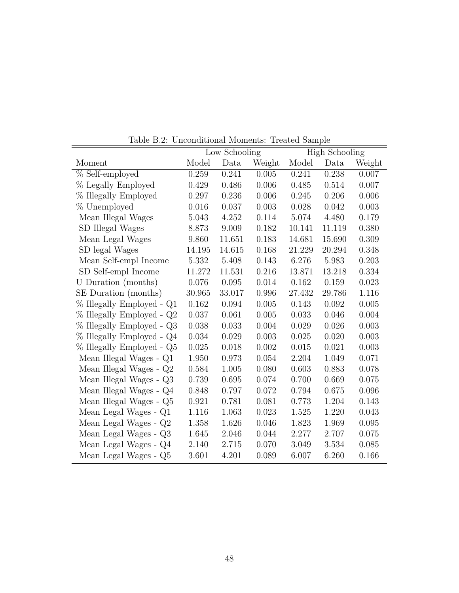|                                    |        | Low Schooling |        | <b>High Schooling</b> |        |        |  |
|------------------------------------|--------|---------------|--------|-----------------------|--------|--------|--|
| Moment                             | Model  | Data          | Weight | Model                 | Data   | Weight |  |
| % Self-employed                    | 0.259  | 0.241         | 0.005  | 0.241                 | 0.238  | 0.007  |  |
| % Legally Employed                 | 0.429  | 0.486         | 0.006  | 0.485                 | 0.514  | 0.007  |  |
| % Illegally Employed               | 0.297  | 0.236         | 0.006  | 0.245                 | 0.206  | 0.006  |  |
| % Unemployed                       | 0.016  | 0.037         | 0.003  | 0.028                 | 0.042  | 0.003  |  |
| Mean Illegal Wages                 | 5.043  | 4.252         | 0.114  | 5.074                 | 4.480  | 0.179  |  |
| SD Illegal Wages                   | 8.873  | 9.009         | 0.182  | 10.141                | 11.119 | 0.380  |  |
| Mean Legal Wages                   | 9.860  | 11.651        | 0.183  | 14.681                | 15.690 | 0.309  |  |
| SD legal Wages                     | 14.195 | 14.615        | 0.168  | 21.229                | 20.294 | 0.348  |  |
| Mean Self-empl Income              | 5.332  | 5.408         | 0.143  | 6.276                 | 5.983  | 0.203  |  |
| SD Self-empl Income                | 11.272 | 11.531        | 0.216  | 13.871                | 13.218 | 0.334  |  |
| U Duration (months)                | 0.076  | 0.095         | 0.014  | 0.162                 | 0.159  | 0.023  |  |
| SE Duration (months)               | 30.965 | 33.017        | 0.996  | 27.432                | 29.786 | 1.116  |  |
| % Illegally Employed - Q1          | 0.162  | 0.094         | 0.005  | 0.143                 | 0.092  | 0.005  |  |
| % Illegally Employed - Q2          | 0.037  | 0.061         | 0.005  | 0.033                 | 0.046  | 0.004  |  |
| % Illegally Employed - Q3          | 0.038  | 0.033         | 0.004  | 0.029                 | 0.026  | 0.003  |  |
| % Illegally Employed - Q4          | 0.034  | 0.029         | 0.003  | 0.025                 | 0.020  | 0.003  |  |
| % Illegally Employed - Q5          | 0.025  | 0.018         | 0.002  | 0.015                 | 0.021  | 0.003  |  |
| Mean Illegal Wages - Q1            | 1.950  | 0.973         | 0.054  | 2.204                 | 1.049  | 0.071  |  |
| Mean Illegal Wages - $\mathrm{Q}2$ | 0.584  | 1.005         | 0.080  | 0.603                 | 0.883  | 0.078  |  |
| Mean Illegal Wages - Q3            | 0.739  | 0.695         | 0.074  | 0.700                 | 0.669  | 0.075  |  |
| Mean Illegal Wages - Q4            | 0.848  | 0.797         | 0.072  | 0.794                 | 0.675  | 0.096  |  |
| Mean Illegal Wages - Q5            | 0.921  | 0.781         | 0.081  | 0.773                 | 1.204  | 0.143  |  |
| Mean Legal Wages - Q1              | 1.116  | 1.063         | 0.023  | 1.525                 | 1.220  | 0.043  |  |
| Mean Legal Wages - Q2              | 1.358  | 1.626         | 0.046  | 1.823                 | 1.969  | 0.095  |  |
| Mean Legal Wages - Q3              | 1.645  | 2.046         | 0.044  | 2.277                 | 2.707  | 0.075  |  |
| Mean Legal Wages - Q4              | 2.140  | 2.715         | 0.070  | 3.049                 | 3.534  | 0.085  |  |
| Mean Legal Wages - Q5              | 3.601  | 4.201         | 0.089  | 6.007                 | 6.260  | 0.166  |  |

Table B.2: Unconditional Moments: Treated Sample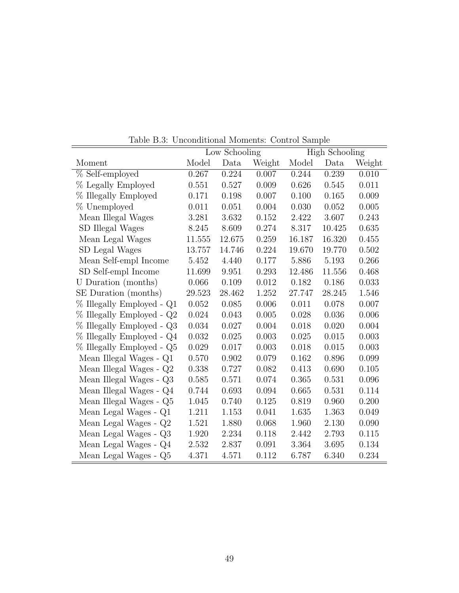|                                    |        | Low Schooling |        | <b>High Schooling</b> |        |        |
|------------------------------------|--------|---------------|--------|-----------------------|--------|--------|
| Moment                             | Model  | Data          | Weight | Model                 | Data   | Weight |
| % Self-employed                    | 0.267  | 0.224         | 0.007  | 0.244                 | 0.239  | 0.010  |
| % Legally Employed                 | 0.551  | 0.527         | 0.009  | 0.626                 | 0.545  | 0.011  |
| % Illegally Employed               | 0.171  | 0.198         | 0.007  | 0.100                 | 0.165  | 0.009  |
| % Unemployed                       | 0.011  | 0.051         | 0.004  | 0.030                 | 0.052  | 0.005  |
| Mean Illegal Wages                 | 3.281  | 3.632         | 0.152  | 2.422                 | 3.607  | 0.243  |
| SD Illegal Wages                   | 8.245  | 8.609         | 0.274  | 8.317                 | 10.425 | 0.635  |
| Mean Legal Wages                   | 11.555 | 12.675        | 0.259  | 16.187                | 16.320 | 0.455  |
| SD Legal Wages                     | 13.757 | 14.746        | 0.224  | 19.670                | 19.770 | 0.502  |
| Mean Self-empl Income              | 5.452  | 4.440         | 0.177  | 5.886                 | 5.193  | 0.266  |
| SD Self-empl Income                | 11.699 | 9.951         | 0.293  | 12.486                | 11.556 | 0.468  |
| U Duration (months)                | 0.066  | 0.109         | 0.012  | 0.182                 | 0.186  | 0.033  |
| SE Duration (months)               | 29.523 | 28.462        | 1.252  | 27.747                | 28.245 | 1.546  |
| % Illegally Employed - Q1          | 0.052  | 0.085         | 0.006  | 0.011                 | 0.078  | 0.007  |
| % Illegally Employed - Q2          | 0.024  | 0.043         | 0.005  | 0.028                 | 0.036  | 0.006  |
| % Illegally Employed - Q3          | 0.034  | 0.027         | 0.004  | 0.018                 | 0.020  | 0.004  |
| % Illegally Employed - Q4          | 0.032  | 0.025         | 0.003  | 0.025                 | 0.015  | 0.003  |
| % Illegally Employed - Q5          | 0.029  | 0.017         | 0.003  | 0.018                 | 0.015  | 0.003  |
| Mean Illegal Wages - Q1            | 0.570  | 0.902         | 0.079  | 0.162                 | 0.896  | 0.099  |
| Mean Illegal Wages - $\mathrm{Q}2$ | 0.338  | 0.727         | 0.082  | 0.413                 | 0.690  | 0.105  |
| Mean Illegal Wages - Q3            | 0.585  | 0.571         | 0.074  | 0.365                 | 0.531  | 0.096  |
| Mean Illegal Wages - $\mathrm{Q}4$ | 0.744  | 0.693         | 0.094  | 0.665                 | 0.531  | 0.114  |
| Mean Illegal Wages - Q5            | 1.045  | 0.740         | 0.125  | 0.819                 | 0.960  | 0.200  |
| Mean Legal Wages - Q1              | 1.211  | 1.153         | 0.041  | 1.635                 | 1.363  | 0.049  |
| Mean Legal Wages - Q2              | 1.521  | 1.880         | 0.068  | 1.960                 | 2.130  | 0.090  |
| Mean Legal Wages - Q3              | 1.920  | 2.234         | 0.118  | 2.442                 | 2.793  | 0.115  |
| Mean Legal Wages - Q4              | 2.532  | 2.837         | 0.091  | 3.364                 | 3.695  | 0.134  |
| Mean Legal Wages - Q5              | 4.371  | 4.571         | 0.112  | 6.787                 | 6.340  | 0.234  |

Table B.3: Unconditional Moments: Control Sample